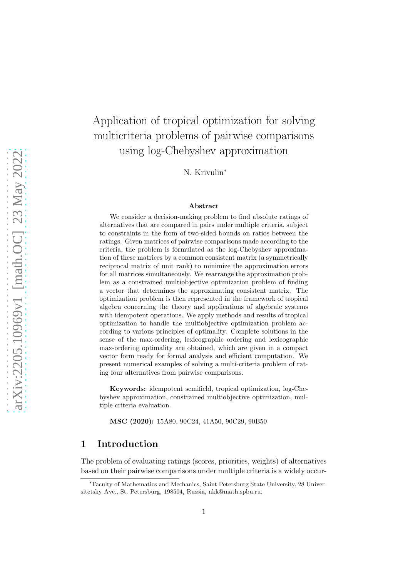# Application of tropical optimization for solving multicriteria problems of pairwise comparisons using log-Chebyshev approximation

N. Krivulin<sup>∗</sup>

### Abstract

We consider a decision-making problem to find absolute ratings of alternatives that are compared in pairs under multiple criteria, subject to constraints in the form of two-sided bounds on ratios between the ratings. Given matrices of pairwise comparisons made according to the criteria, the problem is formulated as the log-Chebyshev approximation of these matrices by a common consistent matrix (a symmetrically reciprocal matrix of unit rank) to minimize the approximation errors for all matrices simultaneously. We rearrange the approximation problem as a constrained multiobjective optimization problem of finding a vector that determines the approximating consistent matrix. The optimization problem is then represented in the framework of tropical algebra concerning the theory and applications of algebraic systems with idempotent operations. We apply methods and results of tropical optimization to handle the multiobjective optimization problem according to various principles of optimality. Complete solutions in the sense of the max-ordering, lexicographic ordering and lexicographic max-ordering optimality are obtained, which are given in a compact vector form ready for formal analysis and efficient computation. We present numerical examples of solving a multi-criteria problem of rating four alternatives from pairwise comparisons.

Keywords: idempotent semifield, tropical optimization, log-Chebyshev approximation, constrained multiobjective optimization, multiple criteria evaluation.

MSC (2020): 15A80, 90C24, 41A50, 90C29, 90B50

## 1 Introduction

The problem of evaluating ratings (scores, priorities, weights) of alternatives based on their pairwise comparisons under multiple criteria is a widely occur-

<sup>∗</sup>Faculty of Mathematics and Mechanics, Saint Petersburg State University, 28 Universitetsky Ave., St. Petersburg, 198504, Russia, nkk@math.spbu.ru.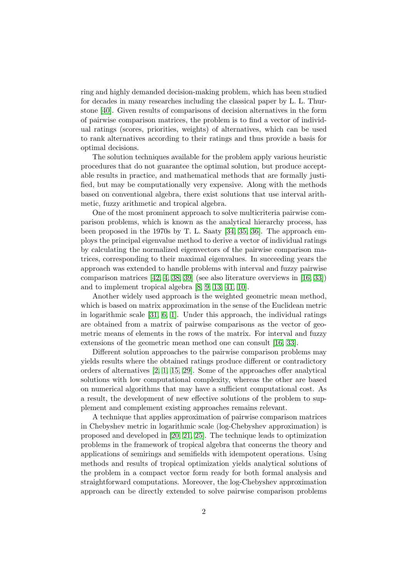ring and highly demanded decision-making problem, which has been studied for decades in many researches including the classical paper by L. L. Thurstone [\[40\]](#page-33-0). Given results of comparisons of decision alternatives in the form of pairwise comparison matrices, the problem is to find a vector of individual ratings (scores, priorities, weights) of alternatives, which can be used to rank alternatives according to their ratings and thus provide a basis for optimal decisions.

The solution techniques available for the problem apply various heuristic procedures that do not guarantee the optimal solution, but produce acceptable results in practice, and mathematical methods that are formally justified, but may be computationally very expensive. Along with the methods based on conventional algebra, there exist solutions that use interval arithmetic, fuzzy arithmetic and tropical algebra.

One of the most prominent approach to solve multicriteria pairwise comparison problems, which is known as the analytical hierarchy process, has been proposed in the 1970s by T. L. Saaty [\[34,](#page-33-1) [35,](#page-33-2) [36\]](#page-33-3). The approach employs the principal eigenvalue method to derive a vector of individual ratings by calculating the normalized eigenvectors of the pairwise comparison matrices, corresponding to their maximal eigenvalues. In succeeding years the approach was extended to handle problems with interval and fuzzy pairwise comparison matrices [\[42,](#page-33-4) [4,](#page-30-0) [38,](#page-33-5) [39\]](#page-33-6) (see also literature overviews in [\[16,](#page-31-0) [33\]](#page-32-0)) and to implement tropical algebra [\[8,](#page-30-1) [9,](#page-30-2) [13,](#page-31-1) [41,](#page-33-7) [10\]](#page-30-3).

Another widely used approach is the weighted geometric mean method, which is based on matrix approximation in the sense of the Euclidean metric in logarithmic scale [\[31,](#page-32-1) [6,](#page-30-4) [1\]](#page-30-5). Under this approach, the individual ratings are obtained from a matrix of pairwise comparisons as the vector of geometric means of elements in the rows of the matrix. For interval and fuzzy extensions of the geometric mean method one can consult [\[16,](#page-31-0) [33\]](#page-32-0).

Different solution approaches to the pairwise comparison problems may yields results where the obtained ratings produce different or contradictory orders of alternatives [\[2,](#page-30-6) [1,](#page-30-5) [15,](#page-31-2) [29\]](#page-32-2). Some of the approaches offer analytical solutions with low computational complexity, whereas the other are based on numerical algorithms that may have a sufficient computational cost. As a result, the development of new effective solutions of the problem to supplement and complement existing approaches remains relevant.

A technique that applies approximation of pairwise comparison matrices in Chebyshev metric in logarithmic scale (log-Chebyshev approximation) is proposed and developed in [\[20,](#page-31-3) [21,](#page-31-4) [25\]](#page-32-3). The technique leads to optimization problems in the framework of tropical algebra that concerns the theory and applications of semirings and semifields with idempotent operations. Using methods and results of tropical optimization yields analytical solutions of the problem in a compact vector form ready for both formal analysis and straightforward computations. Moreover, the log-Chebyshev approximation approach can be directly extended to solve pairwise comparison problems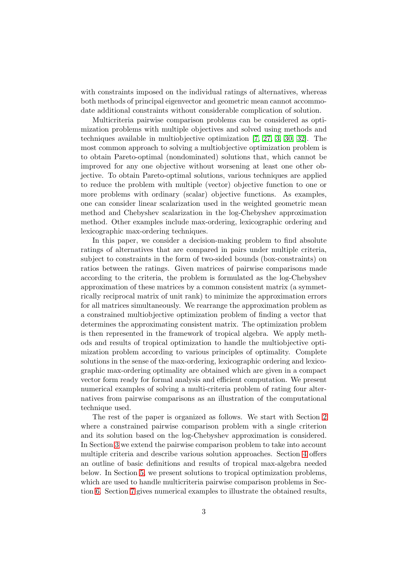with constraints imposed on the individual ratings of alternatives, whereas both methods of principal eigenvector and geometric mean cannot accommodate additional constraints without considerable complication of solution.

Multicriteria pairwise comparison problems can be considered as optimization problems with multiple objectives and solved using methods and techniques available in multiobjective optimization [\[7,](#page-30-7) [27,](#page-32-4) [3,](#page-30-8) [30,](#page-32-5) [32\]](#page-32-6). The most common approach to solving a multiobjective optimization problem is to obtain Pareto-optimal (nondominated) solutions that, which cannot be improved for any one objective without worsening at least one other objective. To obtain Pareto-optimal solutions, various techniques are applied to reduce the problem with multiple (vector) objective function to one or more problems with ordinary (scalar) objective functions. As examples, one can consider linear scalarization used in the weighted geometric mean method and Chebyshev scalarization in the log-Chebyshev approximation method. Other examples include max-ordering, lexicographic ordering and lexicographic max-ordering techniques.

In this paper, we consider a decision-making problem to find absolute ratings of alternatives that are compared in pairs under multiple criteria, subject to constraints in the form of two-sided bounds (box-constraints) on ratios between the ratings. Given matrices of pairwise comparisons made according to the criteria, the problem is formulated as the log-Chebyshev approximation of these matrices by a common consistent matrix (a symmetrically reciprocal matrix of unit rank) to minimize the approximation errors for all matrices simultaneously. We rearrange the approximation problem as a constrained multiobjective optimization problem of finding a vector that determines the approximating consistent matrix. The optimization problem is then represented in the framework of tropical algebra. We apply methods and results of tropical optimization to handle the multiobjective optimization problem according to various principles of optimality. Complete solutions in the sense of the max-ordering, lexicographic ordering and lexicographic max-ordering optimality are obtained which are given in a compact vector form ready for formal analysis and efficient computation. We present numerical examples of solving a multi-criteria problem of rating four alternatives from pairwise comparisons as an illustration of the computational technique used.

The rest of the paper is organized as follows. We start with Section [2](#page-3-0) where a constrained pairwise comparison problem with a single criterion and its solution based on the log-Chebyshev approximation is considered. In Section [3](#page-7-0) we extend the pairwise comparison problem to take into account multiple criteria and describe various solution approaches. Section [4](#page-10-0) offers an outline of basic definitions and results of tropical max-algebra needed below. In Section [5,](#page-13-0) we present solutions to tropical optimization problems, which are used to handle multicriteria pairwise comparison problems in Section [6.](#page-18-0) Section [7](#page-24-0) gives numerical examples to illustrate the obtained results,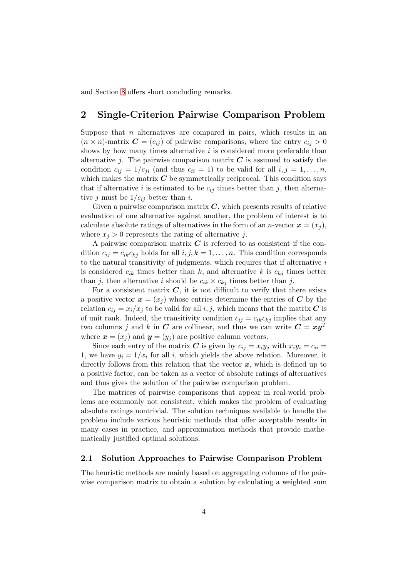<span id="page-3-0"></span>and Section [8](#page-29-0) offers short concluding remarks.

# 2 Single-Criterion Pairwise Comparison Problem

Suppose that  $n$  alternatives are compared in pairs, which results in an  $(n \times n)$ -matrix  $\mathbf{C} = (c_{ij})$  of pairwise comparisons, where the entry  $c_{ij} > 0$ shows by how many times alternative  $i$  is considered more preferable than alternative j. The pairwise comparison matrix  $C$  is assumed to satisfy the condition  $c_{ij} = 1/c_{ji}$  (and thus  $c_{ii} = 1$ ) to be valid for all  $i, j = 1, \ldots, n$ , which makes the matrix  $C$  be symmetrically reciprocal. This condition says that if alternative i is estimated to be  $c_{ij}$  times better than j, then alternative j must be  $1/c_{ij}$  better than i.

Given a pairwise comparison matrix  $C$ , which presents results of relative evaluation of one alternative against another, the problem of interest is to calculate absolute ratings of alternatives in the form of an *n*-vector  $\boldsymbol{x} = (x_i)$ , where  $x_j > 0$  represents the rating of alternative j.

A pairwise comparison matrix  $C$  is referred to as consistent if the condition  $c_{ij} = c_{ik}c_{ki}$  holds for all  $i, j, k = 1, \ldots, n$ . This condition corresponds to the natural transitivity of judgments, which requires that if alternative  $i$ is considered  $c_{ik}$  times better than k, and alternative k is  $c_{kj}$  times better than j, then alternative i should be  $c_{ik} \times c_{ki}$  times better than j.

For a consistent matrix  $C$ , it is not difficult to verify that there exists a positive vector  $\mathbf{x} = (x_i)$  whose entries determine the entries of C by the relation  $c_{ij} = x_i/x_j$  to be valid for all  $i, j$ , which means that the matrix C is of unit rank. Indeed, the transitivity condition  $c_{ij} = c_{ik}c_{kj}$  implies that any two columns j and k in C are collinear, and thus we can write  $C = xy^T$ where  $\mathbf{x} = (x_i)$  and  $\mathbf{y} = (y_i)$  are positive column vectors.

Since each entry of the matrix C is given by  $c_{ij} = x_i y_j$  with  $x_i y_i = c_{ii} =$ 1, we have  $y_i = 1/x_i$  for all i, which yields the above relation. Moreover, it directly follows from this relation that the vector  $x$ , which is defined up to a positive factor, can be taken as a vector of absolute ratings of alternatives and thus gives the solution of the pairwise comparison problem.

The matrices of pairwise comparisons that appear in real-world problems are commonly not consistent, which makes the problem of evaluating absolute ratings nontrivial. The solution techniques available to handle the problem include various heuristic methods that offer acceptable results in many cases in practice, and approximation methods that provide mathematically justified optimal solutions.

#### 2.1 Solution Approaches to Pairwise Comparison Problem

The heuristic methods are mainly based on aggregating columns of the pairwise comparison matrix to obtain a solution by calculating a weighted sum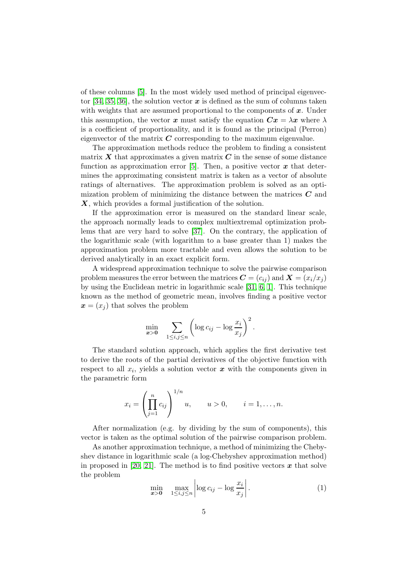of these columns [\[5\]](#page-30-9). In the most widely used method of principal eigenvec-tor [\[34,](#page-33-1) [35,](#page-33-2) [36\]](#page-33-3), the solution vector  $x$  is defined as the sum of columns taken with weights that are assumed proportional to the components of  $x$ . Under this assumption, the vector x must satisfy the equation  $Cx = \lambda x$  where  $\lambda$ is a coefficient of proportionality, and it is found as the principal (Perron) eigenvector of the matrix  $C$  corresponding to the maximum eigenvalue.

The approximation methods reduce the problem to finding a consistent matrix  $X$  that approximates a given matrix  $C$  in the sense of some distance function as approximation error [\[5\]](#page-30-9). Then, a positive vector  $\boldsymbol{x}$  that determines the approximating consistent matrix is taken as a vector of absolute ratings of alternatives. The approximation problem is solved as an optimization problem of minimizing the distance between the matrices  $C$  and X, which provides a formal justification of the solution.

If the approximation error is measured on the standard linear scale, the approach normally leads to complex multiextremal optimization problems that are very hard to solve [\[37\]](#page-33-8). On the contrary, the application of the logarithmic scale (with logarithm to a base greater than 1) makes the approximation problem more tractable and even allows the solution to be derived analytically in an exact explicit form.

A widespread approximation technique to solve the pairwise comparison problem measures the error between the matrices  $\mathbf{C} = (c_{ij})$  and  $\mathbf{X} = (x_i/x_i)$ by using the Euclidean metric in logarithmic scale [\[31,](#page-32-1) [6,](#page-30-4) [1\]](#page-30-5). This technique known as the method of geometric mean, involves finding a positive vector  $\mathbf{x} = (x_i)$  that solves the problem

$$
\min_{\pmb{x} > \pmb{0}} \quad \sum_{1 \leq i,j \leq n} \left( \log c_{ij} - \log \frac{x_i}{x_j} \right)^2.
$$

The standard solution approach, which applies the first derivative test to derive the roots of the partial derivatives of the objective function with respect to all  $x_i$ , yields a solution vector  $\boldsymbol{x}$  with the components given in the parametric form

$$
x_i = \left(\prod_{j=1}^n c_{ij}\right)^{1/n} u, \qquad u > 0, \qquad i = 1, \dots, n.
$$

After normalization (e.g. by dividing by the sum of components), this vector is taken as the optimal solution of the pairwise comparison problem.

As another approximation technique, a method of minimizing the Chebyshev distance in logarithmic scale (a log-Chebyshev approximation method) in proposed in [\[20,](#page-31-3) [21\]](#page-31-4). The method is to find positive vectors  $\boldsymbol{x}$  that solve the problem

<span id="page-4-0"></span>
$$
\min_{\mathbf{x} > \mathbf{0}} \quad \max_{1 \le i, j \le n} \left| \log c_{ij} - \log \frac{x_i}{x_j} \right| \,. \tag{1}
$$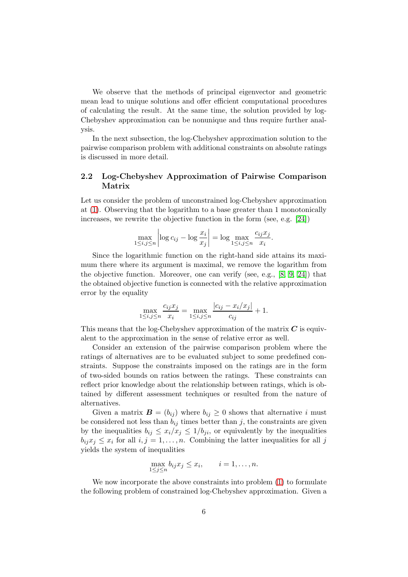We observe that the methods of principal eigenvector and geometric mean lead to unique solutions and offer efficient computational procedures of calculating the result. At the same time, the solution provided by log-Chebyshev approximation can be nonunique and thus require further analysis.

In the next subsection, the log-Chebyshev approximation solution to the pairwise comparison problem with additional constraints on absolute ratings is discussed in more detail.

### 2.2 Log-Chebyshev Approximation of Pairwise Comparison Matrix

Let us consider the problem of unconstrained log-Chebyshev approximation at [\(1\)](#page-4-0). Observing that the logarithm to a base greater than 1 monotonically increases, we rewrite the objective function in the form (see, e.g. [\[24\]](#page-32-7))

$$
\max_{1 \le i,j \le n} \left| \log c_{ij} - \log \frac{x_i}{x_j} \right| = \log \max_{1 \le i,j \le n} \frac{c_{ij} x_j}{x_i}.
$$

Since the logarithmic function on the right-hand side attains its maximum there where its argument is maximal, we remove the logarithm from the objective function. Moreover, one can verify (see, e.g.,  $[8, 9, 24]$  $[8, 9, 24]$  $[8, 9, 24]$ ) that the obtained objective function is connected with the relative approximation error by the equality

$$
\max_{1 \le i,j \le n} \frac{c_{ij} x_j}{x_i} = \max_{1 \le i,j \le n} \frac{|c_{ij} - x_i/x_j|}{c_{ij}} + 1.
$$

This means that the log-Chebyshev approximation of the matrix  $C$  is equivalent to the approximation in the sense of relative error as well.

Consider an extension of the pairwise comparison problem where the ratings of alternatives are to be evaluated subject to some predefined constraints. Suppose the constraints imposed on the ratings are in the form of two-sided bounds on ratios between the ratings. These constraints can reflect prior knowledge about the relationship between ratings, which is obtained by different assessment techniques or resulted from the nature of alternatives.

Given a matrix  $\mathbf{B} = (b_{ij})$  where  $b_{ij} \geq 0$  shows that alternative i must be considered not less than  $b_{ij}$  times better than j, the constraints are given by the inequalities  $b_{ij} \leq x_i/x_j \leq 1/b_{ji}$ , or equivalently by the inequalities  $b_{ij}x_j \leq x_i$  for all  $i, j = 1, \ldots, n$ . Combining the latter inequalities for all j yields the system of inequalities

$$
\max_{1 \le j \le n} b_{ij} x_j \le x_i, \qquad i = 1, \dots, n.
$$

We now incorporate the above constraints into problem [\(1\)](#page-4-0) to formulate the following problem of constrained log-Chebyshev approximation. Given a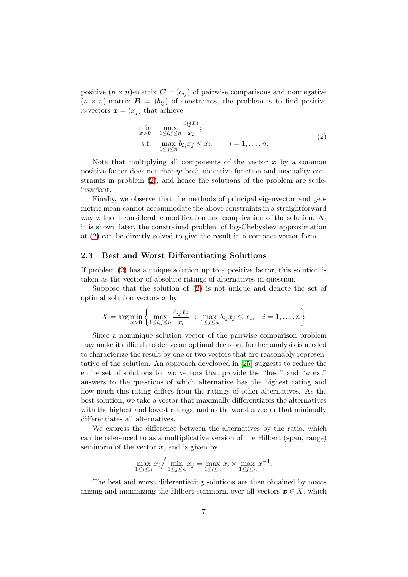positive  $(n \times n)$ -matrix  $\mathbf{C} = (c_{ij})$  of pairwise comparisons and nonnegative  $(n \times n)$ -matrix  $\mathbf{B} = (b_{ij})$  of constraints, the problem is to find positive *n*-vectors  $\boldsymbol{x} = (x_i)$  that achieve

<span id="page-6-0"></span>
$$
\min_{\mathbf{x} > \mathbf{0}} \quad \max_{1 \le i, j \le n} \frac{c_{ij} x_j}{x_i};
$$
\n
$$
\text{s.t.} \quad \max_{1 \le j \le n} b_{ij} x_j \le x_i, \qquad i = 1, \dots, n. \tag{2}
$$

Note that multiplying all components of the vector  $x$  by a common positive factor does not change both objective function and inequality constraints in problem [\(2\)](#page-6-0), and hence the solutions of the problem are scaleinvariant.

Finally, we observe that the methods of principal eigenvector and geometric mean cannot accommodate the above constraints in a straightforward way without considerable modification and complication of the solution. As it is shown later, the constrained problem of log-Chebyshev approximation at [\(2\)](#page-6-0) can be directly solved to give the result in a compact vector form.

### 2.3 Best and Worst Differentiating Solutions

If problem [\(2\)](#page-6-0) has a unique solution up to a positive factor, this solution is taken as the vector of absolute ratings of alternatives in question.

Suppose that the solution of [\(2\)](#page-6-0) is not unique and denote the set of optimal solution vectors  $x$  by

$$
X = \arg\min_{\mathbf{x} > \mathbf{0}} \left\{ \max_{1 \le i,j \le n} \frac{c_{ij} x_j}{x_i} \; : \; \max_{1 \le j \le n} b_{ij} x_j \le x_i, \quad i = 1, \dots, n \right\}
$$

Since a nonunique solution vector of the pairwise comparison problem may make it difficult to derive an optimal decision, further analysis is needed to characterize the result by one or two vectors that are reasonably representative of the solution. An approach developed in [\[25\]](#page-32-3) suggests to reduce the entire set of solutions to two vectors that provide the "best" and "worst" answers to the questions of which alternative has the highest rating and how much this rating differs from the ratings of other alternatives. As the best solution, we take a vector that maximally differentiates the alternatives with the highest and lowest ratings, and as the worst a vector that minimally differentiates all alternatives.

We express the difference between the alternatives by the ratio, which can be referenced to as a multiplicative version of the Hilbert (span, range) seminorm of the vector  $x$ , and is given by

$$
\max_{1 \le i \le n} x_i / \min_{1 \le j \le n} x_j = \max_{1 \le i \le n} x_i \times \max_{1 \le j \le n} x_j^{-1}.
$$

The best and worst differentiating solutions are then obtained by maximizing and minimizing the Hilbert seminorm over all vectors  $x \in X$ , which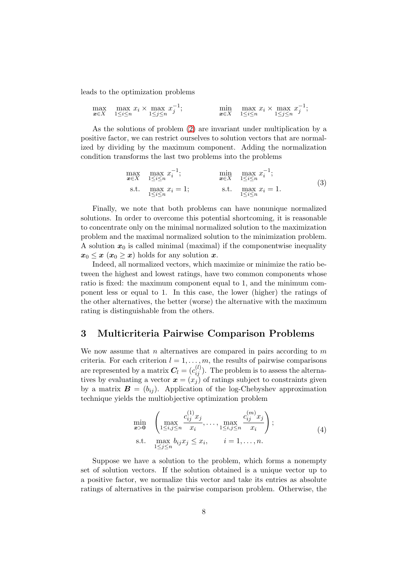leads to the optimization problems

$$
\max_{\mathbf{x}\in X} \max_{1\leq i\leq n} x_i \times \max_{1\leq j\leq n} x_j^{-1}; \qquad \min_{\mathbf{x}\in X} \max_{1\leq i\leq n} x_i \times \max_{1\leq j\leq n} x_j^{-1};
$$

As the solutions of problem [\(2\)](#page-6-0) are invariant under multiplication by a positive factor, we can restrict ourselves to solution vectors that are normalized by dividing by the maximum component. Adding the normalization condition transforms the last two problems into the problems

<span id="page-7-1"></span>
$$
\max_{\mathbf{x} \in X} \max_{1 \le i \le n} x_i^{-1}; \qquad \min_{\mathbf{x} \in X} \max_{1 \le i \le n} x_i^{-1};
$$
\n
$$
\text{s.t.} \max_{1 \le i \le n} x_i = 1; \qquad \text{s.t.} \max_{1 \le i \le n} x_i = 1.
$$
\n(3)

Finally, we note that both problems can have nonunique normalized solutions. In order to overcome this potential shortcoming, it is reasonable to concentrate only on the minimal normalized solution to the maximization problem and the maximal normalized solution to the minimization problem. A solution  $x_0$  is called minimal (maximal) if the componentwise inequality  $x_0 \leq x \ (x_0 \geq x)$  holds for any solution x.

Indeed, all normalized vectors, which maximize or minimize the ratio between the highest and lowest ratings, have two common components whose ratio is fixed: the maximum component equal to 1, and the minimum component less or equal to 1. In this case, the lower (higher) the ratings of the other alternatives, the better (worse) the alternative with the maximum rating is distinguishable from the others.

## <span id="page-7-0"></span>3 Multicriteria Pairwise Comparison Problems

We now assume that n alternatives are compared in pairs according to  $m$ criteria. For each criterion  $l = 1, \ldots, m$ , the results of pairwise comparisons are represented by a matrix  $C_l = (c_{ij}^{(l)})$ . The problem is to assess the alternatives by evaluating a vector  $\mathbf{x} = (x_j)$  of ratings subject to constraints given by a matrix  $\mathbf{B} = (b_{ij})$ . Application of the log-Chebyshev approximation technique yields the multiobjective optimization problem

<span id="page-7-2"></span>
$$
\min_{\mathbf{x} > \mathbf{0}} \left( \max_{1 \le i, j \le n} \frac{c_{ij}^{(1)} x_j}{x_i}, \dots, \max_{1 \le i, j \le n} \frac{c_{ij}^{(m)} x_j}{x_i} \right);
$$
\ns.t.

\n
$$
\max_{1 \le j \le n} b_{ij} x_j \le x_i, \quad i = 1, \dots, n.
$$
\n(4)

Suppose we have a solution to the problem, which forms a nonempty set of solution vectors. If the solution obtained is a unique vector up to a positive factor, we normalize this vector and take its entries as absolute ratings of alternatives in the pairwise comparison problem. Otherwise, the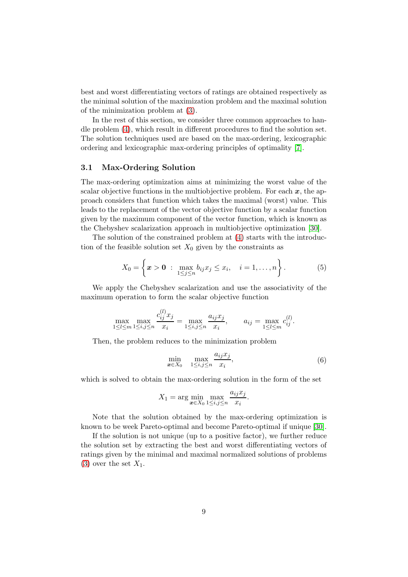best and worst differentiating vectors of ratings are obtained respectively as the minimal solution of the maximization problem and the maximal solution of the minimization problem at [\(3\)](#page-7-1).

In the rest of this section, we consider three common approaches to handle problem [\(4\)](#page-7-2), which result in different procedures to find the solution set. The solution techniques used are based on the max-ordering, lexicographic ordering and lexicographic max-ordering principles of optimality [\[7\]](#page-30-7).

### 3.1 Max-Ordering Solution

The max-ordering optimization aims at minimizing the worst value of the scalar objective functions in the multiobjective problem. For each  $x$ , the approach considers that function which takes the maximal (worst) value. This leads to the replacement of the vector objective function by a scalar function given by the maximum component of the vector function, which is known as the Chebyshev scalarization approach in multiobjective optimization [\[30\]](#page-32-5).

The solution of the constrained problem at [\(4\)](#page-7-2) starts with the introduction of the feasible solution set  $X_0$  given by the constraints as

<span id="page-8-0"></span>
$$
X_0 = \left\{ \boldsymbol{x} > \boldsymbol{0} : \max_{1 \leq j \leq n} b_{ij} x_j \leq x_i, \quad i = 1, ..., n \right\}.
$$
 (5)

We apply the Chebyshev scalarization and use the associativity of the maximum operation to form the scalar objective function

$$
\max_{1 \le l \le m} \max_{1 \le i,j \le n} \frac{c_{ij}^{(l)} x_j}{x_i} = \max_{1 \le i,j \le n} \frac{a_{ij} x_j}{x_i}, \qquad a_{ij} = \max_{1 \le l \le m} c_{ij}^{(l)}.
$$

Then, the problem reduces to the minimization problem

<span id="page-8-1"></span>
$$
\min_{\boldsymbol{x}\in X_0} \max_{1\le i,j\le n} \frac{a_{ij}x_j}{x_i},\tag{6}
$$

which is solved to obtain the max-ordering solution in the form of the set

$$
X_1 = \arg\min_{\mathbf{x} \in X_0} \max_{1 \le i,j \le n} \frac{a_{ij} x_j}{x_i}.
$$

Note that the solution obtained by the max-ordering optimization is known to be week Pareto-optimal and become Pareto-optimal if unique [\[30\]](#page-32-5).

If the solution is not unique (up to a positive factor), we further reduce the solution set by extracting the best and worst differentiating vectors of ratings given by the minimal and maximal normalized solutions of problems [\(3\)](#page-7-1) over the set  $X_1$ .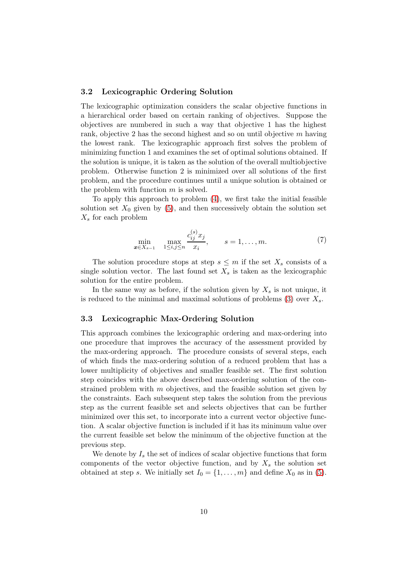### 3.2 Lexicographic Ordering Solution

The lexicographic optimization considers the scalar objective functions in a hierarchical order based on certain ranking of objectives. Suppose the objectives are numbered in such a way that objective 1 has the highest rank, objective 2 has the second highest and so on until objective m having the lowest rank. The lexicographic approach first solves the problem of minimizing function 1 and examines the set of optimal solutions obtained. If the solution is unique, it is taken as the solution of the overall multiobjective problem. Otherwise function 2 is minimized over all solutions of the first problem, and the procedure continues until a unique solution is obtained or the problem with function  $m$  is solved.

To apply this approach to problem [\(4\)](#page-7-2), we first take the initial feasible solution set  $X_0$  given by [\(5\)](#page-8-0), and then successively obtain the solution set  $X_s$  for each problem

<span id="page-9-0"></span>
$$
\min_{\mathbf{x} \in X_{s-1}} \max_{1 \le i,j \le n} \frac{c_{ij}^{(s)} x_j}{x_i}, \qquad s = 1, \dots, m. \tag{7}
$$

The solution procedure stops at step  $s \leq m$  if the set  $X_s$  consists of a single solution vector. The last found set  $X_s$  is taken as the lexicographic solution for the entire problem.

In the same way as before, if the solution given by  $X_s$  is not unique, it is reduced to the minimal and maximal solutions of problems  $(3)$  over  $X_s$ .

### 3.3 Lexicographic Max-Ordering Solution

This approach combines the lexicographic ordering and max-ordering into one procedure that improves the accuracy of the assessment provided by the max-ordering approach. The procedure consists of several steps, each of which finds the max-ordering solution of a reduced problem that has a lower multiplicity of objectives and smaller feasible set. The first solution step coincides with the above described max-ordering solution of the constrained problem with m objectives, and the feasible solution set given by the constraints. Each subsequent step takes the solution from the previous step as the current feasible set and selects objectives that can be further minimized over this set, to incorporate into a current vector objective function. A scalar objective function is included if it has its minimum value over the current feasible set below the minimum of the objective function at the previous step.

We denote by  $I_s$  the set of indices of scalar objective functions that form components of the vector objective function, and by  $X_s$  the solution set obtained at step s. We initially set  $I_0 = \{1, \ldots, m\}$  and define  $X_0$  as in [\(5\)](#page-8-0).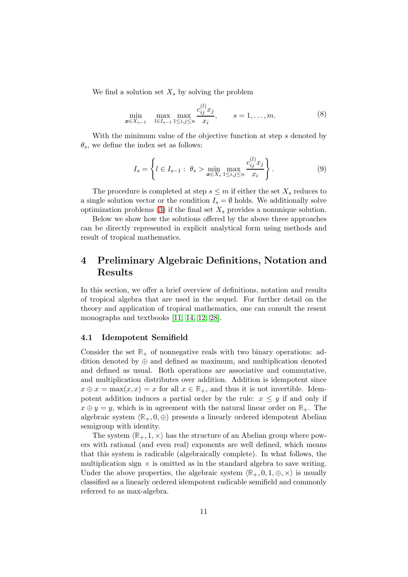We find a solution set  $X_s$  by solving the problem

<span id="page-10-1"></span>
$$
\min_{\mathbf{x} \in X_{s-1}} \max_{l \in I_{s-1}} \max_{1 \le i,j \le n} \frac{c_{ij}^{(l)} x_j}{x_i}, \qquad s = 1, \dots, m. \tag{8}
$$

With the minimum value of the objective function at step s denoted by  $\theta_s$ , we define the index set as follows:

<span id="page-10-2"></span>
$$
I_s = \left\{ l \in I_{s-1} : \ \theta_s > \min_{x \in X_s} \max_{1 \le i, j \le n} \frac{c_{ij}^{(l)} x_j}{x_i} \right\}.
$$
 (9)

The procedure is completed at step  $s \leq m$  if either the set  $X_s$  reduces to a single solution vector or the condition  $I_s = \emptyset$  holds. We additionally solve optimization problems [\(3\)](#page-7-1) if the final set  $X_s$  provides a nonunique solution.

Below we show how the solutions offered by the above three approaches can be directly represented in explicit analytical form using methods and result of tropical mathematics.

# <span id="page-10-0"></span>4 Preliminary Algebraic Definitions, Notation and Results

In this section, we offer a brief overview of definitions, notation and results of tropical algebra that are used in the sequel. For further detail on the theory and application of tropical mathematics, one can consult the resent monographs and textbooks [\[11,](#page-30-10) [14,](#page-31-5) [12,](#page-30-11) [28\]](#page-32-8).

### 4.1 Idempotent Semifield

Consider the set  $\mathbb{R}_+$  of nonnegative reals with two binary operations: addition denoted by  $\oplus$  and defined as maximum, and multiplication denoted and defined as usual. Both operations are associative and commutative, and multiplication distributes over addition. Addition is idempotent since  $x \oplus x = \max(x, x) = x$  for all  $x \in \mathbb{R}_+$ , and thus it is not invertible. Idempotent addition induces a partial order by the rule:  $x \leq y$  if and only if  $x \oplus y = y$ , which is in agreement with the natural linear order on  $\mathbb{R}_+$ . The algebraic system  $\langle \mathbb{R}_+, 0, \oplus \rangle$  presents a linearly ordered idempotent Abelian semigroup with identity.

The system  $\langle \mathbb{R}_+, 1, \times \rangle$  has the structure of an Abelian group where powers with rational (and even real) exponents are well defined, which means that this system is radicable (algebraically complete). In what follows, the multiplication sign  $\times$  is omitted as in the standard algebra to save writing. Under the above properties, the algebraic system  $\langle \mathbb{R}_+, 0, 1, \oplus, \times \rangle$  is usually classified as a linearly ordered idempotent radicable semifield and commonly referred to as max-algebra.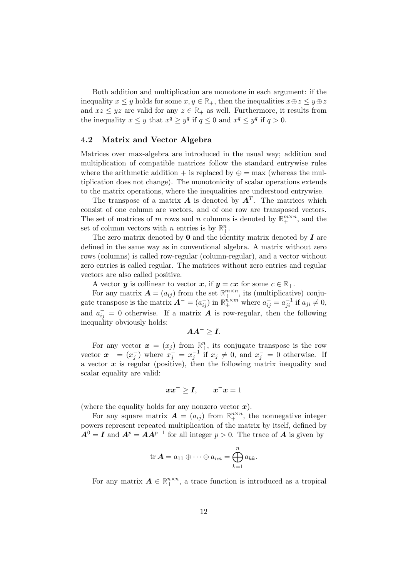Both addition and multiplication are monotone in each argument: if the inequality  $x \leq y$  holds for some  $x, y \in \mathbb{R}_+$ , then the inequalities  $x \oplus z \leq y \oplus z$ and  $xz \leq yz$  are valid for any  $z \in \mathbb{R}_+$  as well. Furthermore, it results from the inequality  $x \leq y$  that  $x^q \geq y^q$  if  $q \leq 0$  and  $x^q \leq y^q$  if  $q > 0$ .

### 4.2 Matrix and Vector Algebra

Matrices over max-algebra are introduced in the usual way; addition and multiplication of compatible matrices follow the standard entrywise rules where the arithmetic addition + is replaced by  $\oplus = \max$  (whereas the multiplication does not change). The monotonicity of scalar operations extends to the matrix operations, where the inequalities are understood entrywise.

The transpose of a matrix  $\boldsymbol{A}$  is denoted by  $\boldsymbol{A}^T$ . The matrices which consist of one column are vectors, and of one row are transposed vectors. The set of matrices of m rows and n columns is denoted by  $\mathbb{R}^{m \times n}_+$ , and the set of column vectors with *n* entries is by  $\mathbb{R}^n_+$ .

The zero matrix denoted by  $\bf{0}$  and the identity matrix denoted by  $\bf{I}$  are defined in the same way as in conventional algebra. A matrix without zero rows (columns) is called row-regular (column-regular), and a vector without zero entries is called regular. The matrices without zero entries and regular vectors are also called positive.

A vector y is collinear to vector x, if  $y = cx$  for some  $c \in \mathbb{R}_+$ .

For any matrix  $\mathbf{A} = (a_{ij})$  from the set  $\mathbb{R}^{m \times n}_+$ , its (multiplicative) conjugate transpose is the matrix  $\mathbf{A}^- = (a_{ij}^-)$  in  $\mathbb{R}^{n \times m}_+$  where  $a_{ij}^- = a_{ji}^{-1}$  if  $a_{ji} \neq 0$ , and  $a_{ij}^- = 0$  otherwise. If a matrix  $\vec{A}$  is row-regular, then the following inequality obviously holds:

$$
AA^{-}\geq I.
$$

For any vector  $x = (x_j)$  from  $\mathbb{R}^n_+$ , its conjugate transpose is the row vector  $\boldsymbol{x}^- = (x_i^-)$  $j$ ) where  $x_j^- = x_j^{-1}$  if  $x_j \neq 0$ , and  $x_j^- = 0$  otherwise. If a vector  $x$  is regular (positive), then the following matrix inequality and scalar equality are valid:

$$
xx^-\geq I,\qquad x^-x=1
$$

(where the equality holds for any nonzero vector  $x$ ).

For any square matrix  $\mathbf{A} = (a_{ij})$  from  $\mathbb{R}^{n \times n}_+$ , the nonnegative integer powers represent repeated multiplication of the matrix by itself, defined by  $A^0 = I$  and  $A^p = AA^{p-1}$  for all integer  $p > 0$ . The trace of A is given by

$$
\operatorname{tr} \boldsymbol{A} = a_{11} \oplus \cdots \oplus a_{nn} = \bigoplus_{k=1}^n a_{kk}.
$$

For any matrix  $A \in \mathbb{R}_+^{n \times n}$ , a trace function is introduced as a tropical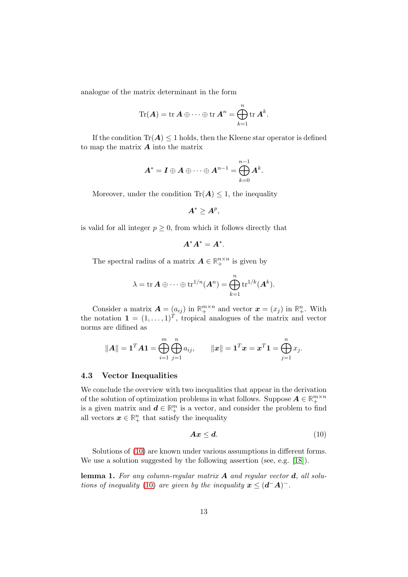analogue of the matrix determinant in the form

$$
\mathrm{Tr}(\boldsymbol{A}) = \mathrm{tr}\,\boldsymbol{A} \oplus \cdots \oplus \mathrm{tr}\,\boldsymbol{A}^n = \bigoplus_{k=1}^n \mathrm{tr}\,\boldsymbol{A}^k.
$$

If the condition  $\text{Tr}(\mathbf{A}) \leq 1$  holds, then the Kleene star operator is defined to map the matrix  $\boldsymbol{A}$  into the matrix

$$
\boldsymbol{A}^* = \boldsymbol{I} \oplus \boldsymbol{A} \oplus \cdots \oplus \boldsymbol{A}^{n-1} = \bigoplus_{k=0}^{n-1} \boldsymbol{A}^k.
$$

Moreover, under the condition  $\text{Tr}(\mathbf{A}) \leq 1$ , the inequality

$$
\boldsymbol{A}^*\geq \boldsymbol{A}^p,
$$

is valid for all integer  $p \geq 0$ , from which it follows directly that

$$
A^*A^*=A^*.
$$

The spectral radius of a matrix  $A \in \mathbb{R}_+^{n \times n}$  is given by

$$
\lambda = \text{tr}\,\boldsymbol{A} \oplus \cdots \oplus \text{tr}^{1/n}(\boldsymbol{A}^n) = \bigoplus_{k=1}^n \text{tr}^{1/k}(\boldsymbol{A}^k).
$$

Consider a matrix  $\mathbf{A} = (a_{ij})$  in  $\mathbb{R}^{m \times n}_+$  and vector  $\mathbf{x} = (x_j)$  in  $\mathbb{R}^n_+$ . With the notation  $\mathbf{1} = (1, \ldots, 1)^T$ , tropical analogues of the matrix and vector norms are difined as

$$
||A|| = \mathbf{1}^T A \mathbf{1} = \bigoplus_{i=1}^m \bigoplus_{j=1}^n a_{ij}, \qquad ||x|| = \mathbf{1}^T x = x^T \mathbf{1} = \bigoplus_{j=1}^n x_j.
$$

#### 4.3 Vector Inequalities

We conclude the overview with two inequalities that appear in the derivation of the solution of optimization problems in what follows. Suppose  $A \in \mathbb{R}_+^{m \times n}$ is a given matrix and  $\mathbf{d} \in \mathbb{R}^m_+$  is a vector, and consider the problem to find all vectors  $x \in \mathbb{R}^n_+$  that satisfy the inequality

<span id="page-12-0"></span>
$$
Ax \leq d. \tag{10}
$$

Solutions of [\(10\)](#page-12-0) are known under various assumptions in different forms. We use a solution suggested by the following assertion (see, e.g. [\[18\]](#page-31-6)).

lemma 1. For any column-regular matrix  $A$  and regular vector  $d$ , all solu-tions of inequality [\(10\)](#page-12-0) are given by the inequality  $x \leq (d^-A)^-$ .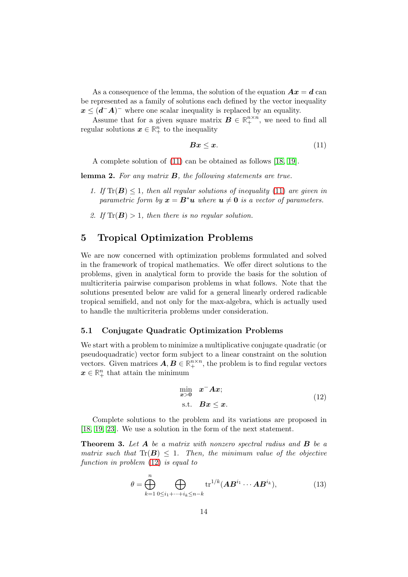As a consequence of the lemma, the solution of the equation  $\boldsymbol{A}\boldsymbol{x} = \boldsymbol{d}$  can be represented as a family of solutions each defined by the vector inequality  $x \leq (d^{-}A)^{-}$  where one scalar inequality is replaced by an equality.

Assume that for a given square matrix  $B \in \mathbb{R}^{n \times n}_+$ , we need to find all regular solutions  $x \in \mathbb{R}^n_+$  to the inequality

<span id="page-13-1"></span>
$$
Bx \le x. \tag{11}
$$

A complete solution of [\(11\)](#page-13-1) can be obtained as follows [\[18,](#page-31-6) [19\]](#page-31-7).

<span id="page-13-5"></span>lemma 2. For any matrix B, the following statements are true.

- 1. If  $\text{Tr}(\mathbf{B}) \leq 1$ , then all regular solutions of inequality [\(11\)](#page-13-1) are given in parametric form by  $x = B^*u$  where  $u \neq 0$  is a vector of parameters.
- 2. If  $\text{Tr}(\mathbf{B}) > 1$ , then there is no regular solution.

# <span id="page-13-0"></span>5 Tropical Optimization Problems

We are now concerned with optimization problems formulated and solved in the framework of tropical mathematics. We offer direct solutions to the problems, given in analytical form to provide the basis for the solution of multicriteria pairwise comparison problems in what follows. Note that the solutions presented below are valid for a general linearly ordered radicable tropical semifield, and not only for the max-algebra, which is actually used to handle the multicriteria problems under consideration.

### 5.1 Conjugate Quadratic Optimization Problems

We start with a problem to minimize a multiplicative conjugate quadratic (or pseudoquadratic) vector form subject to a linear constraint on the solution vectors. Given matrices  $A, B \in \mathbb{R}_+^{n \times n}$ , the problem is to find regular vectors  $\boldsymbol{x} \in \mathbb{R}_+^n$  that attain the minimum

<span id="page-13-2"></span>
$$
\min_{\mathbf{x} > \mathbf{0}} \quad \mathbf{x}^{-} \mathbf{A} \mathbf{x};
$$
  
s.t.  $\mathbf{B} \mathbf{x} \le \mathbf{x}.$  (12)

Complete solutions to the problem and its variations are proposed in [\[18,](#page-31-6) [19,](#page-31-7) [23\]](#page-32-9). We use a solution in the form of the next statement.

<span id="page-13-4"></span>**Theorem 3.** Let  $A$  be a matrix with nonzero spectral radius and  $B$  be a matrix such that  $\text{Tr}(\boldsymbol{B}) \leq 1$ . Then, the minimum value of the objective function in problem [\(12\)](#page-13-2) is equal to

<span id="page-13-3"></span>
$$
\theta = \bigoplus_{k=1}^{n} \bigoplus_{0 \le i_1 + \dots + i_k \le n-k} \text{tr}^{1/k} (\mathbf{A} \mathbf{B}^{i_1} \cdots \mathbf{A} \mathbf{B}^{i_k}),\tag{13}
$$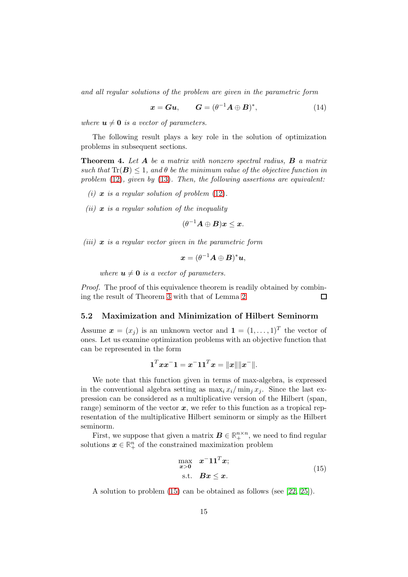and all regular solutions of the problem are given in the parametric form

$$
x = Gu, \qquad G = (\theta^{-1}A \oplus B)^*, \tag{14}
$$

where  $u \neq 0$  is a vector of parameters.

The following result plays a key role in the solution of optimization problems in subsequent sections.

<span id="page-14-1"></span>**Theorem 4.** Let **A** be a matrix with nonzero spectral radius, **B** a matrix such that  $\text{Tr}(\boldsymbol{B}) \leq 1$ , and  $\theta$  be the minimum value of the objective function in problem  $(12)$ , given by  $(13)$ . Then, the following assertions are equivalent:

- (i)  $x$  is a regular solution of problem  $(12)$ .
- (ii)  $x$  is a regular solution of the inequality

 $(\theta^{-1}\boldsymbol{A}\oplus\boldsymbol{B})\boldsymbol{x}\leq\boldsymbol{x}.$ 

(iii)  $x$  is a regular vector given in the parametric form

$$
\boldsymbol{x}=(\theta^{-1}\boldsymbol{A}\oplus\boldsymbol{B})^*\boldsymbol{u},
$$

where  $u \neq 0$  is a vector of parameters.

Proof. The proof of this equivalence theorem is readily obtained by combining the result of Theorem [3](#page-13-4) with that of Lemma [2.](#page-13-5)  $\Box$ 

### 5.2 Maximization and Minimization of Hilbert Seminorm

Assume  $\boldsymbol{x} = (x_j)$  is an unknown vector and  $\boldsymbol{1} = (1, \ldots, 1)^T$  the vector of ones. Let us examine optimization problems with an objective function that can be represented in the form

$$
\mathbf{1}^T \boldsymbol{x} \boldsymbol{x}^- \mathbf{1} = \boldsymbol{x}^- \mathbf{1} \mathbf{1}^T \boldsymbol{x} = \| \boldsymbol{x} \| \| \boldsymbol{x}^- \|.
$$

We note that this function given in terms of max-algebra, is expressed in the conventional algebra setting as  $\max_i x_i/\min_j x_j$ . Since the last expression can be considered as a multiplicative version of the Hilbert (span, range) seminorm of the vector  $x$ , we refer to this function as a tropical representation of the multiplicative Hilbert seminorm or simply as the Hilbert seminorm.

First, we suppose that given a matrix  $\mathbf{B} \in \mathbb{R}_+^{n \times n}$ , we need to find regular solutions  $x \in \mathbb{R}^n_+$  of the constrained maximization problem

<span id="page-14-0"></span>
$$
\max_{x>0} \quad x^{-1} \mathbf{1}^{T} x; \text{s.t.} \quad Bx \leq x.
$$
\n(15)

A solution to problem [\(15\)](#page-14-0) can be obtained as follows (see [\[22,](#page-31-8) [25\]](#page-32-3)).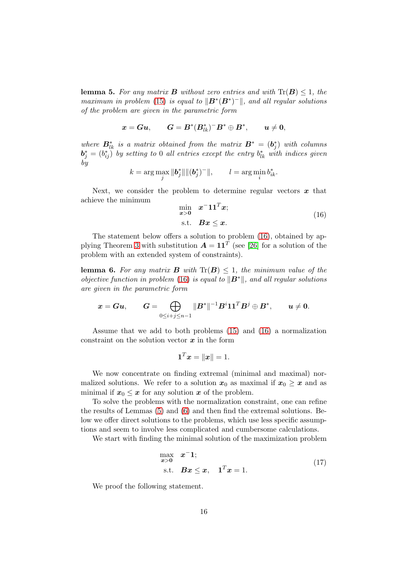<span id="page-15-1"></span>**lemma 5.** For any matrix **B** without zero entries and with  $\text{Tr}(\mathbf{B}) \leq 1$ , the maximum in problem [\(15\)](#page-14-0) is equal to  $\|\boldsymbol{B}^*(\boldsymbol{B}^*)^-\|$ , and all regular solutions of the problem are given in the parametric form

$$
x = G u, \qquad G = B^*(B_{lk}^*)^- B^* \oplus B^*, \qquad u \neq 0,
$$

where  $B_{lk}^*$  is a matrix obtained from the matrix  $B^* = (b_j^*)$  with columns  $\bm{b}_j^* = (b_{ij}^*)^{\top}$  by setting to 0 all entries except the entry  $b_{lk}^*$  with indices given by

$$
k = \arg \max_{j} \|b_j^*\| \| (b_j^*)^{-} \|,
$$
  $l = \arg \min_{i} b_{ik}^*.$ 

Next, we consider the problem to determine regular vectors  $x$  that achieve the minimum

<span id="page-15-0"></span>
$$
\min_{\mathbf{x} > \mathbf{0}} \quad \mathbf{x}^{-1} \mathbf{1}^{T} \mathbf{x};
$$
\n
$$
\text{s.t.} \quad \mathbf{B} \mathbf{x} \le \mathbf{x}.
$$
\n
$$
(16)
$$

The statement below offers a solution to problem [\(16\)](#page-15-0), obtained by ap-plying Theorem [3](#page-13-4) with substitution  $A = 11^T$  (see [\[26\]](#page-32-10) for a solution of the problem with an extended system of constraints).

<span id="page-15-2"></span>**lemma 6.** For any matrix **B** with  $\text{Tr}(\mathbf{B}) \leq 1$ , the minimum value of the objective function in problem [\(16\)](#page-15-0) is equal to  $\|\mathbf{B}^*\|$ , and all regular solutions are given in the parametric form

$$
\boldsymbol{x} = \boldsymbol{G}\boldsymbol{u}, \qquad \boldsymbol{G} = \bigoplus_{0 \leq i+j \leq n-1} \|\boldsymbol{B}^*\|^{-1} \boldsymbol{B}^i \boldsymbol{1}\boldsymbol{1}^T \boldsymbol{B}^j \oplus \boldsymbol{B}^*, \qquad \boldsymbol{u} \neq \boldsymbol{0}.
$$

Assume that we add to both problems [\(15\)](#page-14-0) and [\(16\)](#page-15-0) a normalization constraint on the solution vector  $x$  in the form

$$
\mathbf{1}^T \boldsymbol{x} = \|\boldsymbol{x}\| = 1.
$$

We now concentrate on finding extremal (minimal and maximal) normalized solutions. We refer to a solution  $x_0$  as maximal if  $x_0 \geq x$  and as minimal if  $x_0 \leq x$  for any solution x of the problem.

To solve the problems with the normalization constraint, one can refine the results of Lemmas [\(5\)](#page-15-1) and [\(6\)](#page-15-2) and then find the extremal solutions. Below we offer direct solutions to the problems, which use less specific assumptions and seem to involve less complicated and cumbersome calculations.

We start with finding the minimal solution of the maximization problem

<span id="page-15-3"></span>
$$
\max_{\mathbf{x}>0} \quad \mathbf{x}^{-1};
$$
  
s.t. 
$$
\mathbf{B}\mathbf{x} \le \mathbf{x}, \quad \mathbf{1}^{T}\mathbf{x} = 1.
$$
 (17)

We proof the following statement.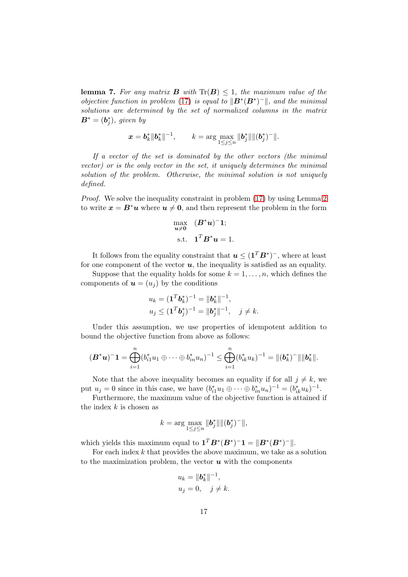<span id="page-16-0"></span>**lemma 7.** For any matrix **B** with  $Tr(B) \leq 1$ , the maximum value of the objective function in problem [\(17\)](#page-15-3) is equal to  $\|\mathbf{B}^*(\mathbf{B}^*)^{-}\|$ , and the minimal solutions are determined by the set of normalized columns in the matrix  $\boldsymbol{B}^* = (\boldsymbol{b}^*_j)$ , given by

$$
\boldsymbol{x}=\boldsymbol{b}_k^*\|\boldsymbol{b}_k^*\|^{-1}, \qquad k=\arg\max_{1\leq j\leq n}\|\boldsymbol{b}_j^*\|\|(\boldsymbol{b}_j^*)^-\|.
$$

If a vector of the set is dominated by the other vectors (the minimal vector) or is the only vector in the set, it uniquely determines the minimal solution of the problem. Otherwise, the minimal solution is not uniquely defined.

Proof. We solve the inequality constraint in problem [\(17\)](#page-15-3) by using Lemma [2](#page-13-5) to write  $x = B^*u$  where  $u \neq 0$ , and then represent the problem in the form

$$
\max_{\mathbf{u}\neq\mathbf{0}} \quad (\mathbf{B}^*\mathbf{u})^-\mathbf{1};
$$
  
s.t. 
$$
\mathbf{1}^T \mathbf{B}^*\mathbf{u} = 1.
$$

It follows from the equality constraint that  $u \leq (\mathbf{1}^T B^*)^-$ , where at least for one component of the vector  $u$ , the inequality is satisfied as an equality.

Suppose that the equality holds for some  $k = 1, \ldots, n$ , which defines the components of  $\mathbf{u} = (u_i)$  by the conditions

$$
u_k = (\mathbf{1}^T \mathbf{b}_k^*)^{-1} = \|\mathbf{b}_k^*\|^{-1},
$$
  

$$
u_j \le (\mathbf{1}^T \mathbf{b}_j^*)^{-1} = \|\mathbf{b}_j^*\|^{-1}, \quad j \neq k.
$$

Under this assumption, we use properties of idempotent addition to bound the objective function from above as follows:

$$
(\boldsymbol{B}^*\boldsymbol{u})^{-1}=\bigoplus_{i=1}^n(b_{i1}^*u_1\oplus\cdots\oplus b_{in}^*u_n)^{-1}\leq \bigoplus_{i=1}^n(b_{ik}^*u_k)^{-1}=\|(\boldsymbol{b}_k^*)^-\|\|\boldsymbol{b}_k^*\|.
$$

Note that the above inequality becomes an equality if for all  $j \neq k$ , we put  $u_j = 0$  since in this case, we have  $(b_{i1}^* u_1 \oplus \cdots \oplus b_{in}^* u_n)^{-1} = (b_{ik}^* u_k)^{-1}$ .

Furthermore, the maximum value of the objective function is attained if the index  $k$  is chosen as

$$
k = \arg \max_{1 \leq j \leq n} \| \boldsymbol{b}_j^* \| \| (\boldsymbol{b}_j^*)^{-} \|,
$$

which yields this maximum equal to  $\mathbf{1}^T B^* (B^*)^{-} \mathbf{1} = ||B^* (B^*)^{-}||.$ 

For each index  $k$  that provides the above maximum, we take as a solution to the maximization problem, the vector  $\boldsymbol{u}$  with the components

$$
u_k = \|\mathbf{b}_k^*\|^{-1},
$$
  

$$
u_j = 0, \quad j \neq k.
$$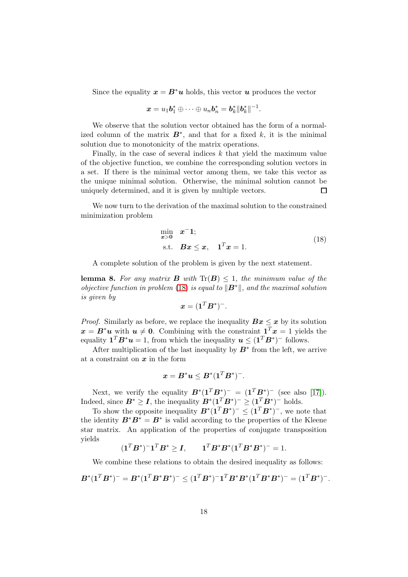Since the equality  $x = B^*u$  holds, this vector u produces the vector

$$
\boldsymbol{x} = u_1 \boldsymbol{b}_1^* \oplus \cdots \oplus u_n \boldsymbol{b}_n^* = \boldsymbol{b}_k^* ||\boldsymbol{b}_k^*||^{-1}.
$$

We observe that the solution vector obtained has the form of a normalized column of the matrix  $B^*$ , and that for a fixed k, it is the minimal solution due to monotonicity of the matrix operations.

Finally, in the case of several indices  $k$  that yield the maximum value of the objective function, we combine the corresponding solution vectors in a set. If there is the minimal vector among them, we take this vector as the unique minimal solution. Otherwise, the minimal solution cannot be uniquely determined, and it is given by multiple vectors.  $\Box$ 

We now turn to the derivation of the maximal solution to the constrained minimization problem

<span id="page-17-0"></span>
$$
\min_{\mathbf{x} > \mathbf{0}} \quad \mathbf{x}^{\top} \mathbf{1};
$$
\n
$$
\text{s.t.} \quad \mathbf{B}\mathbf{x} \le \mathbf{x}, \quad \mathbf{1}^T \mathbf{x} = 1.
$$
\n
$$
(18)
$$

A complete solution of the problem is given by the next statement.

<span id="page-17-1"></span>**lemma 8.** For any matrix **B** with  $\text{Tr}(\mathbf{B}) \leq 1$ , the minimum value of the objective function in problem [\(18\)](#page-17-0) is equal to  $\|\mathbf{B}^*\|$ , and the maximal solution is given by

$$
\boldsymbol{x} = (\boldsymbol{1}^T \boldsymbol{B}^*)^{-}.
$$

*Proof.* Similarly as before, we replace the inequality  $Bx \leq x$  by its solution  $x = B^*u$  with  $u \neq 0$ . Combining with the constraint  $\mathbf{1}^T x = 1$  yields the equality  $\mathbf{1}^T \mathbf{B}^* \mathbf{u} = 1$ , from which the inequality  $\mathbf{u} \leq (\mathbf{1}^T \mathbf{B}^*)$ <sup>-</sup> follows.

After multiplication of the last inequality by  $B^*$  from the left, we arrive at a constraint on  $x$  in the form

$$
\boldsymbol{x} = \boldsymbol{B}^*\boldsymbol{u} \leq \boldsymbol{B}^*(\boldsymbol{1}^T\boldsymbol{B}^*)^-.
$$

Next, we verify the equality  $B^*(1^T B^*)^- = (1^T B^*)^-$  (see also [\[17\]](#page-31-9)). Indeed, since  $B^* \geq I$ , the inequality  $B^*(1^T B^*)^- \geq (1^T B^*)^-$  holds.

To show the opposite inequality  $B^*(1^T B^*)^- \leq (1^T B^*)^-$ , we note that the identity  $\mathbf{B}^* \mathbf{B}^* = \mathbf{B}^*$  is valid according to the properties of the Kleene star matrix. An application of the properties of conjugate transposition yields

$$
(\mathbf{1}^T \boldsymbol{B}^*)^{-1} \mathbf{1}^T \boldsymbol{B}^* \ge \boldsymbol{I}, \qquad \mathbf{1}^T \boldsymbol{B}^* \boldsymbol{B}^* (\mathbf{1}^T \boldsymbol{B}^* \boldsymbol{B}^*)^{-} = 1.
$$

We combine these relations to obtain the desired inequality as follows:

$$
B^*(1^T B^*)^{-} = B^*(1^T B^* B^*)^{-} \leq (1^T B^*)^{-} 1^T B^* B^*(1^T B^* B^*)^{-} = (1^T B^*)^{-}.
$$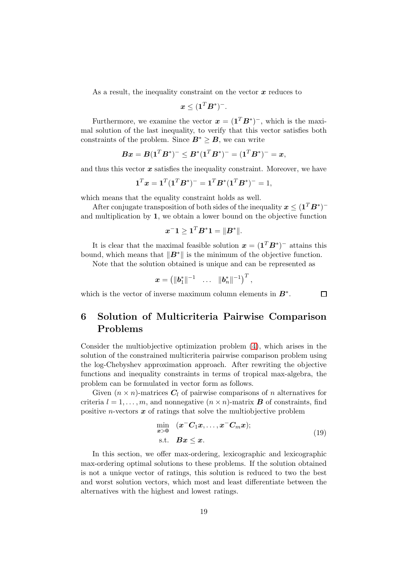As a result, the inequality constraint on the vector  $x$  reduces to

$$
\boldsymbol{x} \leq (\boldsymbol{1}^T \boldsymbol{B}^*)^{-}.
$$

Furthermore, we examine the vector  $\boldsymbol{x} = (\boldsymbol{1}^T \boldsymbol{B}^*)$ , which is the maximal solution of the last inequality, to verify that this vector satisfies both constraints of the problem. Since  $B^* \geq B$ , we can write

$$
Bx = B(1^T B^*)^{-} \le B^*(1^T B^*)^{-} = (1^T B^*)^{-} = x,
$$

and thus this vector  $x$  satisfies the inequality constraint. Moreover, we have

$$
\mathbf{1}^T \mathbf{x} = \mathbf{1}^T (\mathbf{1}^T \mathbf{B}^*)^{-} = \mathbf{1}^T \mathbf{B}^* (\mathbf{1}^T \mathbf{B}^*)^{-} = 1,
$$

which means that the equality constraint holds as well.

After conjugate transposition of both sides of the inequality  $\boldsymbol{x} \leq (\boldsymbol{1}^T \boldsymbol{B}^*)^$ and multiplication by 1, we obtain a lower bound on the objective function

$$
\boldsymbol{x}^{-}\boldsymbol{1} \geq \boldsymbol{1}^{T} \boldsymbol{B}^*\boldsymbol{1} = \|\boldsymbol{B}^*\|.
$$

It is clear that the maximal feasible solution  $x = (1^T B^*)^-$  attains this bound, which means that  $||B^*||$  is the minimum of the objective function.

Note that the solution obtained is unique and can be represented as

$$
\boldsymbol{x}=\begin{pmatrix}\|\boldsymbol{b}_1^*\|^{-1}&\dots&\|\boldsymbol{b}_n^*\|^{-1}\end{pmatrix}^T,
$$

<span id="page-18-0"></span>which is the vector of inverse maximum column elements in  $B^*$ .

# 6 Solution of Multicriteria Pairwise Comparison Problems

Consider the multiobjective optimization problem [\(4\)](#page-7-2), which arises in the solution of the constrained multicriteria pairwise comparison problem using the log-Chebyshev approximation approach. After rewriting the objective functions and inequality constraints in terms of tropical max-algebra, the problem can be formulated in vector form as follows.

Given  $(n \times n)$ -matrices  $C_l$  of pairwise comparisons of n alternatives for criteria  $l = 1, \ldots, m$ , and nonnegative  $(n \times n)$ -matrix **B** of constraints, find positive *n*-vectors  $x$  of ratings that solve the multiobjective problem

<span id="page-18-1"></span>
$$
\min_{\boldsymbol{x} > \boldsymbol{0}} \quad (\boldsymbol{x}^{-}\boldsymbol{C}_{1}\boldsymbol{x}, \ldots, \boldsymbol{x}^{-}\boldsymbol{C}_{m}\boldsymbol{x});
$$
\n
$$
\text{s.t.} \quad \boldsymbol{B}\boldsymbol{x} \leq \boldsymbol{x}. \tag{19}
$$

 $\Box$ 

In this section, we offer max-ordering, lexicographic and lexicographic max-ordering optimal solutions to these problems. If the solution obtained is not a unique vector of ratings, this solution is reduced to two the best and worst solution vectors, which most and least differentiate between the alternatives with the highest and lowest ratings.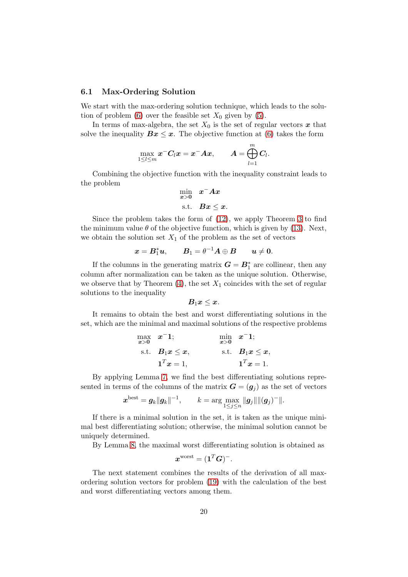### 6.1 Max-Ordering Solution

We start with the max-ordering solution technique, which leads to the solu-tion of problem [\(6\)](#page-8-1) over the feasible set  $X_0$  given by [\(5\)](#page-8-0).

In terms of max-algebra, the set  $X_0$  is the set of regular vectors  $\boldsymbol{x}$  that solve the inequality  $Bx \leq x$ . The objective function at [\(6\)](#page-8-1) takes the form

$$
\max_{1\leq l\leq m} \boldsymbol{x}^- \boldsymbol{C}_l \boldsymbol{x} = \boldsymbol{x}^- \boldsymbol{A} \boldsymbol{x}, \qquad \boldsymbol{A} = \bigoplus_{l=1}^m \boldsymbol{C}_l.
$$

Combining the objective function with the inequality constraint leads to the problem

$$
\min_{x>0} x^{-} A x
$$
  
s.t.  $Bx \leq x$ .

Since the problem takes the form of [\(12\)](#page-13-2), we apply Theorem [3](#page-13-4) to find the minimum value  $\theta$  of the objective function, which is given by [\(13\)](#page-13-3). Next, we obtain the solution set  $X_1$  of the problem as the set of vectors

$$
\boldsymbol{x} = \boldsymbol{B}_1^*\boldsymbol{u}, \qquad \boldsymbol{B}_1 = \theta^{-1}\boldsymbol{A} \oplus \boldsymbol{B} \qquad \boldsymbol{u} \neq \boldsymbol{0}.
$$

If the columns in the generating matrix  $G = B_1^*$  are collinear, then any column after normalization can be taken as the unique solution. Otherwise, we observe that by Theorem  $(4)$ , the set  $X_1$  coincides with the set of regular solutions to the inequality

$$
B_1x\leq x.
$$

It remains to obtain the best and worst differentiating solutions in the set, which are the minimal and maximal solutions of the respective problems

$$
\begin{array}{ll}\n\max x & \text{if } x = 1; \\
\text{s.t.} & B_1 x \leq x, \\
1^T x = 1, & 1^T x = 1.\n\end{array}
$$
\n
$$
\begin{array}{ll}\n\min x - 1; \\
\text{s.t.} & B_1 x \leq x, \\
1^T x = 1.\n\end{array}
$$

By applying Lemma [7,](#page-16-0) we find the best differentiating solutions represented in terms of the columns of the matrix  $\mathbf{G} = (\mathbf{g}_i)$  as the set of vectors

$$
\boldsymbol{x}^{\text{best}} = \boldsymbol{g}_k \| \boldsymbol{g}_k \|^{-1}, \qquad k = \arg \max_{1 \leq j \leq n} \| \boldsymbol{g}_j \| \| (\boldsymbol{g}_j)^- \|.
$$

If there is a minimal solution in the set, it is taken as the unique minimal best differentiating solution; otherwise, the minimal solution cannot be uniquely determined.

By Lemma [8,](#page-17-1) the maximal worst differentiating solution is obtained as

$$
\boldsymbol{x}^{\text{worst}} = (\boldsymbol{1}^T\boldsymbol{G})^-.
$$

The next statement combines the results of the derivation of all maxordering solution vectors for problem [\(19\)](#page-18-1) with the calculation of the best and worst differentiating vectors among them.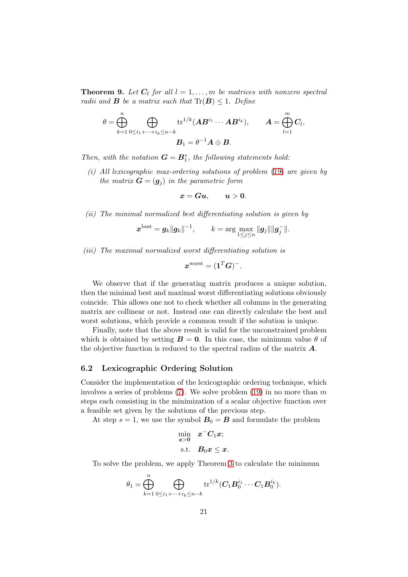<span id="page-20-0"></span>**Theorem 9.** Let  $C_l$  for all  $l = 1, \ldots, m$  be matrices with nonzero spectral radii and **B** be a matrix such that  $\text{Tr}(\mathbf{B}) \leq 1$ . Define

$$
\theta = \bigoplus_{k=1}^n \bigoplus_{0 \leq i_1 + \dots + i_k \leq n-k} \operatorname{tr}^{1/k}(\boldsymbol{A}\boldsymbol{B}^{i_1} \cdots \boldsymbol{A}\boldsymbol{B}^{i_k}), \qquad \boldsymbol{A} = \bigoplus_{l=1}^m \boldsymbol{C}_l,
$$

$$
\boldsymbol{B}_1 = \theta^{-1} \boldsymbol{A} \oplus \boldsymbol{B}.
$$

Then, with the notation  $G = B_1^*$ , the following statements hold:

(i) All lexicographic max-ordering solutions of problem [\(19\)](#page-18-1) are given by the matrix  $\mathbf{G} = (\mathbf{g}_i)$  in the parametric form

$$
x=Gu, \qquad u>0.
$$

(ii) The minimal normalized best differentiating solution is given by

$$
\bm{x}^{\text{best}} = \bm{g}_k ||\bm{g}_k||^{-1}, \qquad k = \arg \max_{1 \leq j \leq n} ||\bm{g}_j|| ||\bm{g}_j^-||.
$$

(iii) The maximal normalized worst differentiating solution is

$$
\boldsymbol{x}^{\text{worst}} = (\boldsymbol{1}^T\boldsymbol{G})^-.
$$

We observe that if the generating matrix produces a unique solution, then the minimal best and maximal worst differentiating solutions obviously coincide. This allows one not to check whether all columns in the generating matrix are collinear or not. Instead one can directly calculate the best and worst solutions, which provide a common result if the solution is unique.

Finally, note that the above result is valid for the unconstrained problem which is obtained by setting  $\mathbf{B} = \mathbf{0}$ . In this case, the minimum value  $\theta$  of the objective function is reduced to the spectral radius of the matrix  $\boldsymbol{A}$ .

### 6.2 Lexicographic Ordering Solution

Consider the implementation of the lexicographic ordering technique, which involves a series of problems  $(7)$ . We solve problem  $(19)$  in no more than m steps each consisting in the minimization of a scalar objective function over a feasible set given by the solutions of the previous step.

At step  $s = 1$ , we use the symbol  $B_0 = B$  and formulate the problem

$$
\min_{\bm{x} > \bm{0}} \quad \bm{x}^{\top} \bm{C}_1 \bm{x};
$$
  
s.t.  $\bm{B}_0 \bm{x} \leq \bm{x}.$ 

To solve the problem, we apply Theorem [3](#page-13-4) to calculate the minimum

$$
\theta_1 = \bigoplus_{k=1}^n \bigoplus_{0 \le i_1 + \dots + i_k \le n-k} \text{tr}^{1/k} (C_1 B_0^{i_1} \cdots C_1 B_0^{i_k}).
$$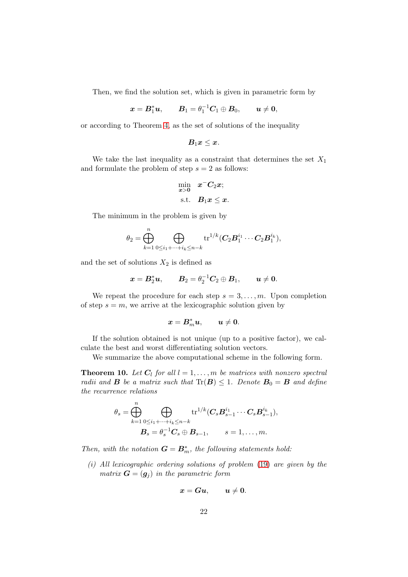Then, we find the solution set, which is given in parametric form by

$$
\boldsymbol{x} = \boldsymbol{B}_1^*\boldsymbol{u}, \qquad \boldsymbol{B}_1 = \theta_1^{-1}\boldsymbol{C}_1 \oplus \boldsymbol{B}_0, \qquad \boldsymbol{u} \neq \boldsymbol{0},
$$

or according to Theorem [4,](#page-14-1) as the set of solutions of the inequality

$$
B_1x\leq x.
$$

We take the last inequality as a constraint that determines the set  $X_1$ and formulate the problem of step  $s = 2$  as follows:

$$
\min_{\bm{x} > \bm{0}} \quad \bm{x}^{\top} \bm{C}_2 \bm{x};
$$
  
s.t.  $\bm{B}_1 \bm{x} \leq \bm{x}$ .

The minimum in the problem is given by

$$
\theta_2 = \bigoplus_{k=1}^n \bigoplus_{0 \leq i_1 + \dots + i_k \leq n-k} \text{tr}^{1/k} (C_2 B_1^{i_1} \cdots C_2 B_1^{i_k}),
$$

and the set of solutions  $X_2$  is defined as

$$
\boldsymbol{x} = \boldsymbol{B}_2^* \boldsymbol{u}, \qquad \boldsymbol{B}_2 = \theta_2^{-1} \boldsymbol{C}_2 \oplus \boldsymbol{B}_1, \qquad \boldsymbol{u} \neq \boldsymbol{0}.
$$

We repeat the procedure for each step  $s = 3, \ldots, m$ . Upon completion of step  $s = m$ , we arrive at the lexicographic solution given by

$$
\boldsymbol{x} = \boldsymbol{B}^*_m \boldsymbol{u}, \qquad \boldsymbol{u} \neq \boldsymbol{0}.
$$

If the solution obtained is not unique (up to a positive factor), we calculate the best and worst differentiating solution vectors.

We summarize the above computational scheme in the following form.

<span id="page-21-0"></span>**Theorem 10.** Let  $C_l$  for all  $l = 1, ..., m$  be matrices with nonzero spectral radii and **B** be a matrix such that  $\text{Tr}(\mathbf{B}) \leq 1$ . Denote  $\mathbf{B}_0 = \mathbf{B}$  and define the recurrence relations

$$
\theta_s = \bigoplus_{k=1}^n \bigoplus_{0 \le i_1 + \dots + i_k \le n-k} \operatorname{tr}^{1/k} (C_s B_{s-1}^{i_1} \cdots C_s B_{s-1}^{i_k}),
$$
  

$$
B_s = \theta_s^{-1} C_s \oplus B_{s-1}, \qquad s = 1, \dots, m.
$$

Then, with the notation  $G = B_m^*$ , the following statements hold:

(i) All lexicographic ordering solutions of problem [\(19\)](#page-18-1) are given by the matrix  $\mathbf{G} = (\mathbf{g}_j)$  in the parametric form

$$
x=Gu, \qquad u\neq 0.
$$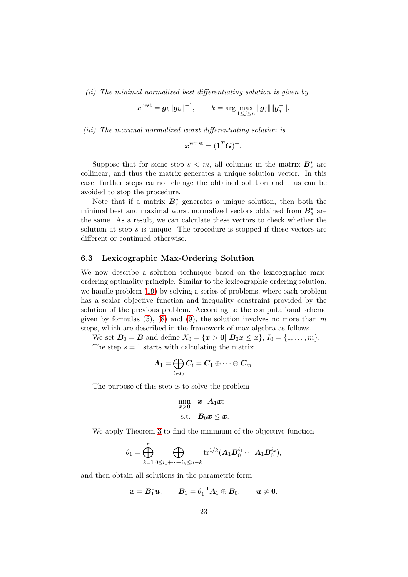(ii) The minimal normalized best differentiating solution is given by

$$
\boldsymbol{x}^{\text{best}} = \boldsymbol{g}_k \|\boldsymbol{g}_k\|^{-1}, \qquad k = \arg\max_{1 \leq j \leq n} \|\boldsymbol{g}_j\| \|\boldsymbol{g}_j^-\|.
$$

(iii) The maximal normalized worst differentiating solution is

$$
\boldsymbol{x}^{\text{worst}} = (\boldsymbol{1}^T\boldsymbol{G})^-.
$$

Suppose that for some step  $s < m$ , all columns in the matrix  $B_s^*$  are collinear, and thus the matrix generates a unique solution vector. In this case, further steps cannot change the obtained solution and thus can be avoided to stop the procedure.

Note that if a matrix  $B_s^*$  generates a unique solution, then both the minimal best and maximal worst normalized vectors obtained from  $B_s^*$  are the same. As a result, we can calculate these vectors to check whether the solution at step  $s$  is unique. The procedure is stopped if these vectors are different or continued otherwise.

### 6.3 Lexicographic Max-Ordering Solution

We now describe a solution technique based on the lexicographic maxordering optimality principle. Similar to the lexicographic ordering solution, we handle problem [\(19\)](#page-18-1) by solving a series of problems, where each problem has a scalar objective function and inequality constraint provided by the solution of the previous problem. According to the computational scheme given by formulas  $(5)$ ,  $(8)$  and  $(9)$ , the solution involves no more than m steps, which are described in the framework of max-algebra as follows.

We set  $B_0 = B$  and define  $X_0 = \{x > 0 | B_0 x \le x\}, I_0 = \{1, ..., m\}.$ The step  $s = 1$  starts with calculating the matrix

$$
\boldsymbol{A}_1 = \bigoplus_{l \in I_0} \boldsymbol{C}_l = \boldsymbol{C}_1 \oplus \cdots \oplus \boldsymbol{C}_m.
$$

The purpose of this step is to solve the problem

$$
\min_{x>0} \quad x^{-}A_{1}x;
$$
  
s.t.  $B_{0}x \leq x$ .

We apply Theorem [3](#page-13-4) to find the minimum of the objective function

$$
\theta_1 = \bigoplus_{k=1}^n \bigoplus_{0 \leq i_1 + \dots + i_k \leq n-k} \text{tr}^{1/k} (A_1 B_0^{i_1} \cdots A_1 B_0^{i_k}),
$$

and then obtain all solutions in the parametric form

$$
\boldsymbol{x} = \boldsymbol{B}_1^*\boldsymbol{u}, \qquad \boldsymbol{B}_1 = \theta_1^{-1}\boldsymbol{A}_1 \oplus \boldsymbol{B}_0, \qquad \boldsymbol{u} \neq \boldsymbol{0}.
$$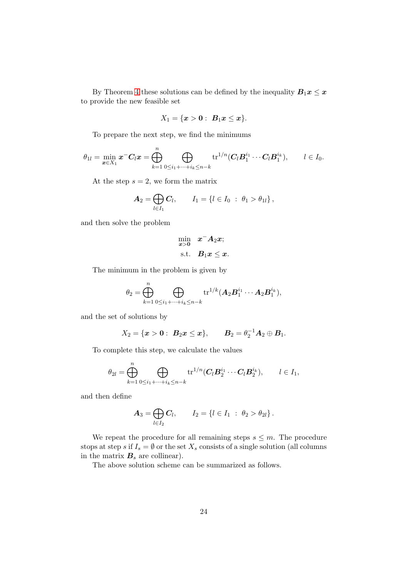By Theorem [4](#page-14-1) these solutions can be defined by the inequality  $B_1x \leq x$ to provide the new feasible set

$$
X_1 = \{ \bm{x} > \bm{0}: \; \bm{B}_1\bm{x} \leq \bm{x} \}.
$$

To prepare the next step, we find the minimums

$$
\theta_{1l}=\min_{\boldsymbol{x}\in X_1}\boldsymbol{x}^-\boldsymbol{C}_l\boldsymbol{x}=\bigoplus_{k=1}^n\bigoplus_{0\leq i_1+\cdots+i_k\leq n-k}\text{tr}^{1/n}(\boldsymbol{C}_l\boldsymbol{B}_1^{i_1}\cdots\boldsymbol{C}_l\boldsymbol{B}_1^{i_k}),\qquad l\in I_0.
$$

At the step  $s = 2$ , we form the matrix

$$
\boldsymbol{A}_2 = \bigoplus_{l \in I_1} \boldsymbol{C}_l, \qquad \boldsymbol{I}_1 = \{l \in I_0 \; : \; \theta_1 > \theta_{1l}\},
$$

and then solve the problem

$$
\min_{\bm{x} > \bm{0}} \quad \bm{x}^- \bm{A}_2 \bm{x};
$$
  
s.t.  $\bm{B}_1 \bm{x} \leq \bm{x}$ .

The minimum in the problem is given by

$$
\theta_2=\bigoplus_{k=1}^n\bigoplus_{0\leq i_1+\cdots+i_k\leq n-k}\operatorname{tr}^{1/k}(\boldsymbol{A}_2\boldsymbol{B}_1^{i_1}\cdots\boldsymbol{A}_2\boldsymbol{B}_1^{i_k}),
$$

and the set of solutions by

$$
X_2 = \{x > 0: B_2x \le x\},
$$
  $B_2 = \theta_2^{-1}A_2 \oplus B_1.$ 

To complete this step, we calculate the values

$$
\theta_{2l} = \bigoplus_{k=1}^n \bigoplus_{0 \leq i_1 + \dots + i_k \leq n-k} \operatorname{tr}^{1/n}(\mathbf{C}_l \mathbf{B}_2^{i_1} \cdots \mathbf{C}_l \mathbf{B}_2^{i_k}), \qquad l \in I_1,
$$

and then define

$$
A_3 = \bigoplus_{l \in I_2} C_l, \qquad I_2 = \{l \in I_1 \; : \; \theta_2 > \theta_{2l}\}.
$$

We repeat the procedure for all remaining steps  $s \leq m$ . The procedure stops at step s if  $I_s = \emptyset$  or the set  $X_s$  consists of a single solution (all columns in the matrix  $B_s$  are collinear).

The above solution scheme can be summarized as follows.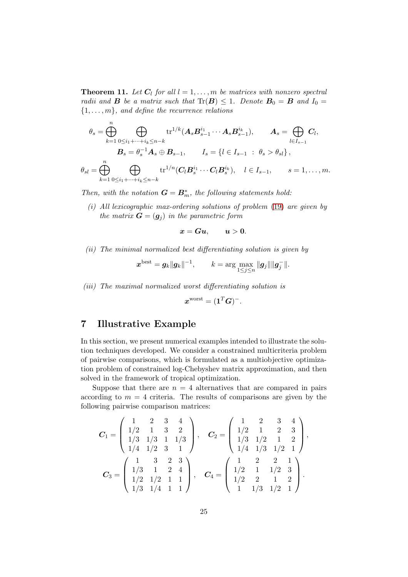**Theorem 11.** Let  $C_l$  for all  $l = 1, \ldots, m$  be matrices with nonzero spectral radii and **B** be a matrix such that  $\text{Tr}(\mathbf{B}) \leq 1$ . Denote  $\mathbf{B}_0 = \mathbf{B}$  and  $I_0 =$  ${1, \ldots, m}$ , and define the recurrence relations

$$
\theta_s = \bigoplus_{k=1}^n \bigoplus_{0 \le i_1 + \dots + i_k \le n-k} \text{tr}^{1/k}(A_s B_{s-1}^{i_1} \cdots A_s B_{s-1}^{i_k}), \qquad A_s = \bigoplus_{l \in I_{s-1}} C_l,
$$
  

$$
B_s = \theta_s^{-1} A_s \oplus B_{s-1}, \qquad I_s = \{l \in I_{s-1} \; : \; \theta_s > \theta_{sl}\},
$$
  

$$
\theta_{sl} = \bigoplus_{k=1}^n \bigoplus_{0 \le i_1 + \dots + i_k \le n-k} \text{tr}^{1/n}(C_l B_s^{i_1} \cdots C_l B_s^{i_k}), \quad l \in I_{s-1}, \qquad s = 1, \dots, m.
$$

Then, with the notation  $G = B_m^*$ , the following statements hold:

(i) All lexicographic max-ordering solutions of problem [\(19\)](#page-18-1) are given by the matrix  $\mathbf{G} = (\mathbf{g}_i)$  in the parametric form

 $x = Gu, \quad u > 0.$ 

(ii) The minimal normalized best differentiating solution is given by

$$
\bm{x}^{\text{best}} = \bm{g}_k ||\bm{g}_k||^{-1}, \qquad k = \arg\max_{1 \leq j \leq n} ||\bm{g}_j|| ||\bm{g}_j^-||.
$$

(iii) The maximal normalized worst differentiating solution is

$$
\boldsymbol{x}^{\text{worst}} = (\boldsymbol{1}^T\boldsymbol{G})^-.
$$

# <span id="page-24-0"></span>7 Illustrative Example

In this section, we present numerical examples intended to illustrate the solution techniques developed. We consider a constrained multicriteria problem of pairwise comparisons, which is formulated as a multiobjective optimization problem of constrained log-Chebyshev matrix approximation, and then solved in the framework of tropical optimization.

Suppose that there are  $n = 4$  alternatives that are compared in pairs according to  $m = 4$  criteria. The results of comparisons are given by the following pairwise comparison matrices:

$$
C_1 = \begin{pmatrix} 1 & 2 & 3 & 4 \\ 1/2 & 1 & 3 & 2 \\ 1/3 & 1/3 & 1 & 1/3 \\ 1/4 & 1/2 & 3 & 1 \end{pmatrix}, \quad C_2 = \begin{pmatrix} 1 & 2 & 3 & 4 \\ 1/2 & 1 & 2 & 3 \\ 1/3 & 1/2 & 1 & 2 \\ 1/4 & 1/3 & 1/2 & 1 \end{pmatrix},
$$

$$
C_3 = \begin{pmatrix} 1 & 3 & 2 & 3 \\ 1/3 & 1 & 2 & 4 \\ 1/2 & 1/2 & 1 & 1 \\ 1/3 & 1/4 & 1 & 1 \end{pmatrix}, \quad C_4 = \begin{pmatrix} 1 & 2 & 2 & 1 \\ 1/2 & 1 & 1/2 & 3 \\ 1/2 & 2 & 1 & 2 \\ 1 & 1/3 & 1/2 & 1 \end{pmatrix}.
$$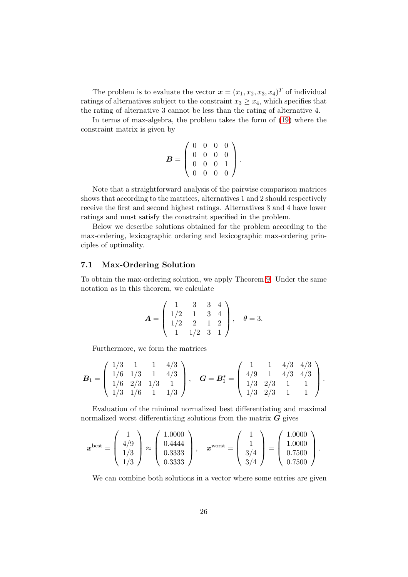The problem is to evaluate the vector  $\mathbf{x} = (x_1, x_2, x_3, x_4)^T$  of individual ratings of alternatives subject to the constraint  $x_3 \geq x_4$ , which specifies that the rating of alternative 3 cannot be less than the rating of alternative 4.

In terms of max-algebra, the problem takes the form of [\(19\)](#page-18-1) where the constraint matrix is given by

$$
\boldsymbol{B} = \left( \begin{array}{cccc} 0 & 0 & 0 & 0 \\ 0 & 0 & 0 & 0 \\ 0 & 0 & 0 & 1 \\ 0 & 0 & 0 & 0 \end{array} \right).
$$

Note that a straightforward analysis of the pairwise comparison matrices shows that according to the matrices, alternatives 1 and 2 should respectively receive the first and second highest ratings. Alternatives 3 and 4 have lower ratings and must satisfy the constraint specified in the problem.

Below we describe solutions obtained for the problem according to the max-ordering, lexicographic ordering and lexicographic max-ordering principles of optimality.

### 7.1 Max-Ordering Solution

To obtain the max-ordering solution, we apply Theorem [9.](#page-20-0) Under the same notation as in this theorem, we calculate

$$
\mathbf{A} = \left( \begin{array}{rrrr} 1 & 3 & 3 & 4 \\ 1/2 & 1 & 3 & 4 \\ 1/2 & 2 & 1 & 2 \\ 1 & 1/2 & 3 & 1 \end{array} \right), \quad \theta = 3.
$$

Furthermore, we form the matrices

$$
\boldsymbol{B}_1 = \left( \begin{array}{cccc} 1/3 & 1 & 1 & 4/3 \\ 1/6 & 1/3 & 1 & 4/3 \\ 1/6 & 2/3 & 1/3 & 1 \\ 1/3 & 1/6 & 1 & 1/3 \end{array} \right), \quad \boldsymbol{G} = \boldsymbol{B}_1^* = \left( \begin{array}{cccc} 1 & 1 & 4/3 & 4/3 \\ 4/9 & 1 & 4/3 & 4/3 \\ 1/3 & 2/3 & 1 & 1 \\ 1/3 & 2/3 & 1 & 1 \end{array} \right).
$$

Evaluation of the minimal normalized best differentiating and maximal normalized worst differentiating solutions from the matrix  $G$  gives

$$
\boldsymbol{x}^{\text{best}} = \left(\begin{array}{c} 1 \\ 4/9 \\ 1/3 \\ 1/3 \end{array}\right) \approx \left(\begin{array}{c} 1.0000 \\ 0.4444 \\ 0.3333 \\ 0.3333 \end{array}\right), \quad \boldsymbol{x}^{\text{worst}} = \left(\begin{array}{c} 1 \\ 1 \\ 3/4 \\ 3/4 \end{array}\right) = \left(\begin{array}{c} 1.0000 \\ 1.0000 \\ 0.7500 \\ 0.7500 \end{array}\right).
$$

We can combine both solutions in a vector where some entries are given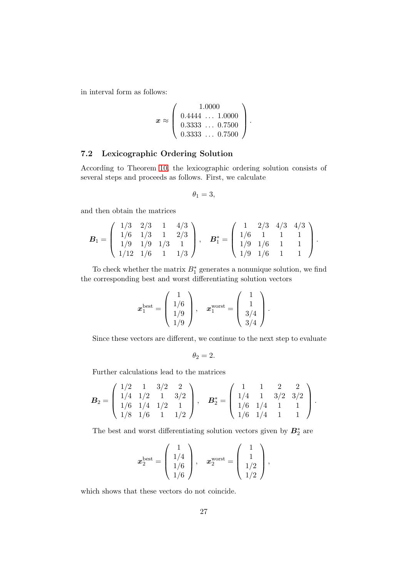in interval form as follows:

$$
\boldsymbol{x} \approx \left(\begin{array}{c} 1.0000 \\ 0.4444 \ldots 1.0000 \\ 0.3333 \ldots 0.7500 \\ 0.3333 \ldots 0.7500 \end{array}\right).
$$

### 7.2 Lexicographic Ordering Solution

According to Theorem [10,](#page-21-0) the lexicographic ordering solution consists of several steps and proceeds as follows. First, we calculate

$$
\theta_1=3,
$$

and then obtain the matrices

$$
\boldsymbol{B}_1 = \left( \begin{array}{cccc} 1/3 & 2/3 & 1 & 4/3 \\ 1/6 & 1/3 & 1 & 2/3 \\ 1/9 & 1/9 & 1/3 & 1 \\ 1/12 & 1/6 & 1 & 1/3 \end{array} \right), \quad \boldsymbol{B}_1^* = \left( \begin{array}{cccc} 1 & 2/3 & 4/3 & 4/3 \\ 1/6 & 1 & 1 & 1 \\ 1/9 & 1/6 & 1 & 1 \\ 1/9 & 1/6 & 1 & 1 \end{array} \right).
$$

To check whether the matrix  $B_1^*$  generates a nonunique solution, we find the corresponding best and worst differentiating solution vectors

$$
\boldsymbol{x}_1^{\text{best}} = \left(\begin{array}{c} 1 \\ 1/6 \\ 1/9 \\ 1/9 \end{array}\right), \quad \boldsymbol{x}_1^{\text{worst}} = \left(\begin{array}{c} 1 \\ 1 \\ 3/4 \\ 3/4 \end{array}\right).
$$

Since these vectors are different, we continue to the next step to evaluate

$$
\theta_2=2.
$$

Further calculations lead to the matrices

$$
\boldsymbol{B}_2 = \left(\begin{array}{rrr} 1/2 & 1 & 3/2 & 2 \\ 1/4 & 1/2 & 1 & 3/2 \\ 1/6 & 1/4 & 1/2 & 1 \\ 1/8 & 1/6 & 1 & 1/2 \end{array}\right), \quad \boldsymbol{B}_2^* = \left(\begin{array}{rrr} 1 & 1 & 2 & 2 \\ 1/4 & 1 & 3/2 & 3/2 \\ 1/6 & 1/4 & 1 & 1 \\ 1/6 & 1/4 & 1 & 1 \end{array}\right).
$$

The best and worst differentiating solution vectors given by  $B_2^*$  are

$$
\mathbf{x}_{2}^{\text{best}} = \begin{pmatrix} 1 \\ 1/4 \\ 1/6 \\ 1/6 \end{pmatrix}, \quad \mathbf{x}_{2}^{\text{worst}} = \begin{pmatrix} 1 \\ 1 \\ 1/2 \\ 1/2 \end{pmatrix},
$$

which shows that these vectors do not coincide.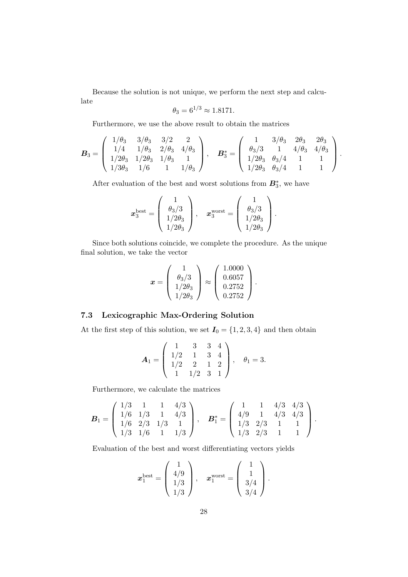Because the solution is not unique, we perform the next step and calculate

$$
\theta_3 = 6^{1/3} \approx 1.8171.
$$

Furthermore, we use the above result to obtain the matrices

$$
\boldsymbol{B}_3 = \left( \begin{array}{cccc} 1/\theta_3 & 3/\theta_3 & 3/2 & 2 \\ 1/4 & 1/\theta_3 & 2/\theta_3 & 4/\theta_3 \\ 1/2\theta_3 & 1/2\theta_3 & 1/\theta_3 & 1 \\ 1/3\theta_3 & 1/6 & 1 & 1/\theta_3 \end{array} \right), \quad \boldsymbol{B}_3^* = \left( \begin{array}{cccc} 1 & 3/\theta_3 & 2\theta_3 & 2\theta_3 \\ \theta_3/3 & 1 & 4/\theta_3 & 4/\theta_3 \\ 1/2\theta_3 & \theta_3/4 & 1 & 1 \\ 1/2\theta_3 & \theta_3/4 & 1 & 1 \end{array} \right).
$$

After evaluation of the best and worst solutions from  $\mathbf{B}_{3}^{*}$ , we have

$$
\boldsymbol{x}^{\text{best}}_3 = \left(\begin{array}{c} 1 \\ \theta_3/3 \\ 1/2\theta_3 \\ 1/2\theta_3 \end{array}\right), \quad \boldsymbol{x}^{\text{worst}}_3 = \left(\begin{array}{c} 1 \\ \theta_3/3 \\ 1/2\theta_3 \\ 1/2\theta_3 \end{array}\right).
$$

Since both solutions coincide, we complete the procedure. As the unique final solution, we take the vector

$$
\boldsymbol{x} = \left(\begin{array}{c} 1 \\ \theta_3/3 \\ 1/2\theta_3 \\ 1/2\theta_3 \end{array}\right) \approx \left(\begin{array}{c} 1.0000 \\ 0.6057 \\ 0.2752 \\ 0.2752 \end{array}\right).
$$

### 7.3 Lexicographic Max-Ordering Solution

At the first step of this solution, we set  $I_0 = \{1, 2, 3, 4\}$  and then obtain

$$
\mathbf{A}_1 = \left( \begin{array}{rrrr} 1 & 3 & 3 & 4 \\ 1/2 & 1 & 3 & 4 \\ 1/2 & 2 & 1 & 2 \\ 1 & 1/2 & 3 & 1 \end{array} \right), \quad \theta_1 = 3.
$$

Furthermore, we calculate the matrices

$$
\boldsymbol{B}_1 = \left( \begin{array}{cccc} 1/3 & 1 & 1 & 4/3 \\ 1/6 & 1/3 & 1 & 4/3 \\ 1/6 & 2/3 & 1/3 & 1 \\ 1/3 & 1/6 & 1 & 1/3 \end{array} \right), \quad \boldsymbol{B}_1^* = \left( \begin{array}{cccc} 1 & 1 & 4/3 & 4/3 \\ 4/9 & 1 & 4/3 & 4/3 \\ 1/3 & 2/3 & 1 & 1 \\ 1/3 & 2/3 & 1 & 1 \end{array} \right).
$$

Evaluation of the best and worst differentiating vectors yields

$$
\boldsymbol{x}_1^{\text{best}} = \begin{pmatrix} 1 \\ 4/9 \\ 1/3 \\ 1/3 \end{pmatrix}, \quad \boldsymbol{x}_1^{\text{worst}} = \begin{pmatrix} 1 \\ 1 \\ 3/4 \\ 3/4 \end{pmatrix}.
$$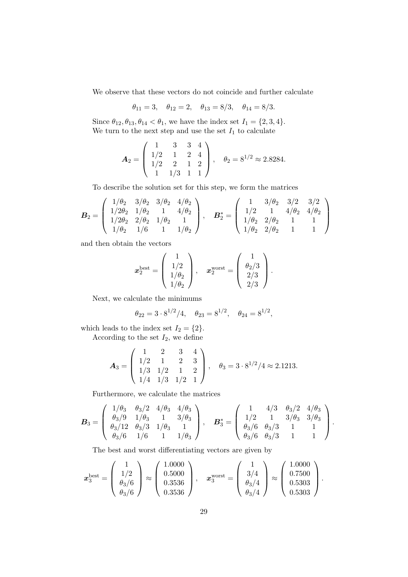We observe that these vectors do not coincide and further calculate

$$
\theta_{11} = 3
$$
,  $\theta_{12} = 2$ ,  $\theta_{13} = 8/3$ ,  $\theta_{14} = 8/3$ .

Since  $\theta_{12}, \theta_{13}, \theta_{14} < \theta_1$ , we have the index set  $I_1 = \{2, 3, 4\}.$ We turn to the next step and use the set  ${\cal I}_1$  to calculate

$$
\mathbf{A}_2 = \left( \begin{array}{rrr} 1 & 3 & 3 & 4 \\ 1/2 & 1 & 2 & 4 \\ 1/2 & 2 & 1 & 2 \\ 1 & 1/3 & 1 & 1 \end{array} \right), \quad \theta_2 = 8^{1/2} \approx 2.8284.
$$

To describe the solution set for this step, we form the matrices

$$
\boldsymbol{B}_2 = \left(\begin{array}{cccc} 1/\theta_2 & 3/\theta_2 & 3/\theta_2 & 4/\theta_2 \\ 1/2\theta_2 & 1/\theta_2 & 1 & 4/\theta_2 \\ 1/2\theta_2 & 2/\theta_2 & 1/\theta_2 & 1 \\ 1/\theta_2 & 1/6 & 1 & 1/\theta_2 \end{array}\right), \quad \boldsymbol{B}_2^* = \left(\begin{array}{cccc} 1 & 3/\theta_2 & 3/2 & 3/2 \\ 1/2 & 1 & 4/\theta_2 & 4/\theta_2 \\ 1/\theta_2 & 2/\theta_2 & 1 & 1 \\ 1/\theta_2 & 2/\theta_2 & 1 & 1 \end{array}\right)
$$

and then obtain the vectors

$$
\boldsymbol{x}^{\text{best}}_2 = \left( \begin{array}{c} 1 \\ 1/2 \\ 1/\theta_2 \\ 1/\theta_2 \end{array} \right), \quad \boldsymbol{x}^{\text{worst}}_2 = \left( \begin{array}{c} 1 \\ \theta_2/3 \\ 2/3 \\ 2/3 \end{array} \right).
$$

Next, we calculate the minimums

$$
\theta_{22} = 3 \cdot 8^{1/2}/4, \quad \theta_{23} = 8^{1/2}, \quad \theta_{24} = 8^{1/2},
$$

which leads to the index set  $I_2 = \{2\}.$ According to the set  $I_2$ , we define

$$
\mathbf{A}_3 = \left( \begin{array}{rrr} 1 & 2 & 3 & 4 \\ 1/2 & 1 & 2 & 3 \\ 1/3 & 1/2 & 1 & 2 \\ 1/4 & 1/3 & 1/2 & 1 \end{array} \right), \quad \theta_3 = 3 \cdot 8^{1/2}/4 \approx 2.1213.
$$

Furthermore, we calculate the matrices

$$
\boldsymbol{B}_3 = \left( \begin{array}{cccc} 1/\theta_3 & \theta_3/2 & 4/\theta_3 & 4/\theta_3 \\ \theta_3/9 & 1/\theta_3 & 1 & 3/\theta_3 \\ \theta_3/12 & \theta_3/3 & 1/\theta_3 & 1 \\ \theta_3/6 & 1/6 & 1 & 1/\theta_3 \end{array} \right), \quad \boldsymbol{B}_3^* = \left( \begin{array}{cccc} 1 & 4/3 & \theta_3/2 & 4/\theta_3 \\ 1/2 & 1 & 3/\theta_3 & 3/\theta_3 \\ \theta_3/6 & \theta_3/3 & 1 & 1 \\ \theta_3/6 & \theta_3/3 & 1 & 1 \end{array} \right).
$$

The best and worst differentiating vectors are given by

$$
\boldsymbol{x}_3^{\text{best}} = \left(\begin{array}{c} 1 \\ 1/2 \\ \theta_3/6 \\ \theta_3/6 \end{array}\right) \approx \left(\begin{array}{c} 1.0000 \\ 0.5000 \\ 0.3536 \\ 0.3536 \end{array}\right), \quad \boldsymbol{x}_3^{\text{worst}} = \left(\begin{array}{c} 1 \\ 3/4 \\ \theta_3/4 \\ \theta_3/4 \end{array}\right) \approx \left(\begin{array}{c} 1.0000 \\ 0.7500 \\ 0.5303 \\ 0.5303 \end{array}\right).
$$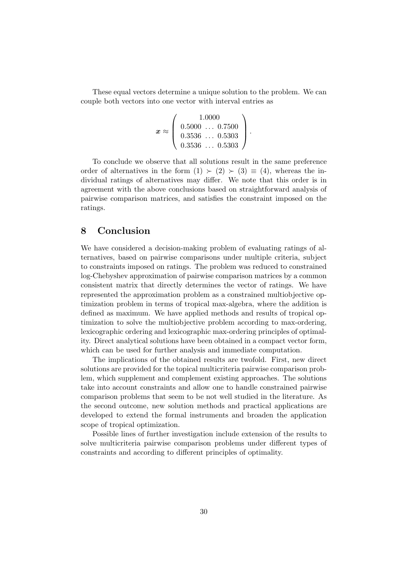These equal vectors determine a unique solution to the problem. We can couple both vectors into one vector with interval entries as

$$
x \approx \left(\begin{array}{c} 1.0000 \\ 0.5000 \ldots 0.7500 \\ 0.3536 \ldots 0.5303 \\ 0.3536 \ldots 0.5303 \end{array}\right).
$$

To conclude we observe that all solutions result in the same preference order of alternatives in the form  $(1) \succ (2) \succ (3) \equiv (4)$ , whereas the individual ratings of alternatives may differ. We note that this order is in agreement with the above conclusions based on straightforward analysis of pairwise comparison matrices, and satisfies the constraint imposed on the ratings.

### <span id="page-29-0"></span>8 Conclusion

We have considered a decision-making problem of evaluating ratings of alternatives, based on pairwise comparisons under multiple criteria, subject to constraints imposed on ratings. The problem was reduced to constrained log-Chebyshev approximation of pairwise comparison matrices by a common consistent matrix that directly determines the vector of ratings. We have represented the approximation problem as a constrained multiobjective optimization problem in terms of tropical max-algebra, where the addition is defined as maximum. We have applied methods and results of tropical optimization to solve the multiobjective problem according to max-ordering, lexicographic ordering and lexicographic max-ordering principles of optimality. Direct analytical solutions have been obtained in a compact vector form, which can be used for further analysis and immediate computation.

The implications of the obtained results are twofold. First, new direct solutions are provided for the topical multicriteria pairwise comparison problem, which supplement and complement existing approaches. The solutions take into account constraints and allow one to handle constrained pairwise comparison problems that seem to be not well studied in the literature. As the second outcome, new solution methods and practical applications are developed to extend the formal instruments and broaden the application scope of tropical optimization.

Possible lines of further investigation include extension of the results to solve multicriteria pairwise comparison problems under different types of constraints and according to different principles of optimality.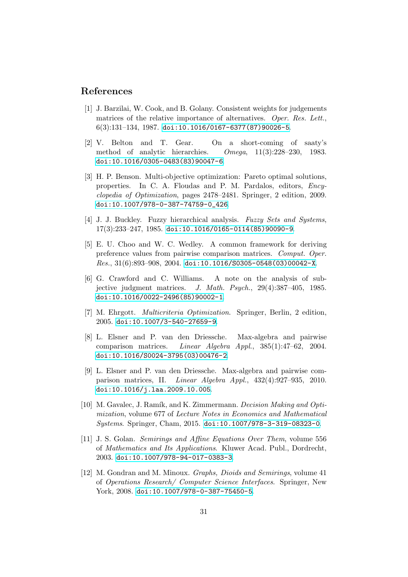### <span id="page-30-5"></span>References

- [1] J. Barzilai, W. Cook, and B. Golany. Consistent weights for judgements matrices of the relative importance of alternatives. Oper. Res. Lett.,  $6(3):131-134, 1987.$  [doi:10.1016/0167-6377\(87\)90026-5](https://doi.org/10.1016/0167-6377(87)90026-5).
- <span id="page-30-6"></span>[2] V. Belton and T. Gear. On a short-coming of saaty's method of analytic hierarchies. Omega, 11(3):228–230, 1983. [doi:10.1016/0305-0483\(83\)90047-6](https://doi.org/10.1016/0305-0483(83)90047-6).
- <span id="page-30-8"></span>[3] H. P. Benson. Multi-objective optimization: Pareto optimal solutions, properties. In C. A. Floudas and P. M. Pardalos, editors, Encyclopedia of Optimization, pages 2478–2481. Springer, 2 edition, 2009. [doi:10.1007/978-0-387-74759-0\\_426](https://doi.org/10.1007/978-0-387-74759-0_426).
- <span id="page-30-9"></span><span id="page-30-0"></span>[4] J. J. Buckley. Fuzzy hierarchical analysis. Fuzzy Sets and Systems, 17(3):233–247, 1985. [doi:10.1016/0165-0114\(85\)90090-9](https://doi.org/10.1016/0165-0114(85)90090-9).
- [5] E. U. Choo and W. C. Wedley. A common framework for deriving preference values from pairwise comparison matrices. Comput. Oper.  $Res., 31(6):893-908, 2004.$  [doi:10.1016/S0305-0548\(03\)00042-X](https://doi.org/10.1016/S0305-0548(03)00042-X).
- <span id="page-30-4"></span>[6] G. Crawford and C. Williams. A note on the analysis of subjective judgment matrices. J. Math. Psych., 29(4):387–405, 1985. [doi:10.1016/0022-2496\(85\)90002-1](https://doi.org/10.1016/0022-2496(85)90002-1).
- <span id="page-30-7"></span><span id="page-30-1"></span>[7] M. Ehrgott. Multicriteria Optimization. Springer, Berlin, 2 edition, 2005. [doi:10.1007/3-540-27659-9](https://doi.org/10.1007/3-540-27659-9).
- [8] L. Elsner and P. van den Driessche. Max-algebra and pairwise comparison matrices. Linear Algebra Appl., 385(1):47–62, 2004. [doi:10.1016/S0024-3795\(03\)00476-2](https://doi.org/10.1016/S0024-3795(03)00476-2).
- <span id="page-30-2"></span>[9] L. Elsner and P. van den Driessche. Max-algebra and pairwise comparison matrices, II. Linear Algebra Appl., 432(4):927–935, 2010. [doi:10.1016/j.laa.2009.10.005](https://doi.org/10.1016/j.laa.2009.10.005).
- <span id="page-30-3"></span>[10] M. Gavalec, J. Ramík, and K. Zimmermann. Decision Making and Optimization, volume 677 of Lecture Notes in Economics and Mathematical Systems. Springer, Cham, 2015. [doi:10.1007/978-3-319-08323-0](https://doi.org/10.1007/978-3-319-08323-0).
- <span id="page-30-10"></span>[11] J. S. Golan. Semirings and Affine Equations Over Them, volume 556 of Mathematics and Its Applications. Kluwer Acad. Publ., Dordrecht, 2003. [doi:10.1007/978-94-017-0383-3](https://doi.org/10.1007/978-94-017-0383-3).
- <span id="page-30-11"></span>[12] M. Gondran and M. Minoux. Graphs, Dioids and Semirings, volume 41 of Operations Research/ Computer Science Interfaces. Springer, New York, 2008. [doi:10.1007/978-0-387-75450-5](https://doi.org/10.1007/978-0-387-75450-5).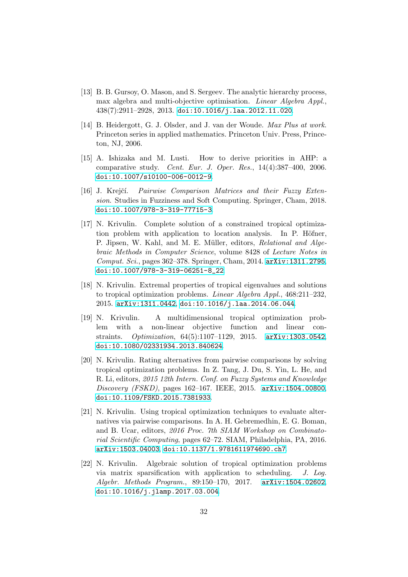- <span id="page-31-1"></span>[13] B. B. Gursoy, O. Mason, and S. Sergeev. The analytic hierarchy process, max algebra and multi-objective optimisation. Linear Algebra Appl., 438(7):2911–2928, 2013. [doi:10.1016/j.laa.2012.11.020](https://doi.org/10.1016/j.laa.2012.11.020).
- <span id="page-31-5"></span>[14] B. Heidergott, G. J. Olsder, and J. van der Woude. Max Plus at work. Princeton series in applied mathematics. Princeton Univ. Press, Princeton, NJ, 2006.
- <span id="page-31-2"></span>[15] A. Ishizaka and M. Lusti. How to derive priorities in AHP: a comparative study. Cent. Eur. J. Oper. Res., 14(4):387–400, 2006. [doi:10.1007/s10100-006-0012-9](https://doi.org/10.1007/s10100-006-0012-9).
- <span id="page-31-0"></span>[16] J. Krejčí. Pairwise Comparison Matrices and their Fuzzy Extension. Studies in Fuzziness and Soft Computing. Springer, Cham, 2018. [doi:10.1007/978-3-319-77715-3](https://doi.org/10.1007/978-3-319-77715-3).
- <span id="page-31-9"></span>[17] N. Krivulin. Complete solution of a constrained tropical optimization problem with application to location analysis. In P. Höfner, P. Jipsen, W. Kahl, and M. E. Müller, editors, Relational and Algebraic Methods in Computer Science, volume 8428 of Lecture Notes in Comput. Sci., pages 362–378. Springer, Cham, 2014. [arXiv:1311.2795](http://arxiv.org/abs/1311.2795), [doi:10.1007/978-3-319-06251-8\\_22](https://doi.org/10.1007/978-3-319-06251-8_22).
- <span id="page-31-6"></span>[18] N. Krivulin. Extremal properties of tropical eigenvalues and solutions to tropical optimization problems. Linear Algebra Appl., 468:211–232, 2015. [arXiv:1311.0442](http://arxiv.org/abs/1311.0442), [doi:10.1016/j.laa.2014.06.044](https://doi.org/10.1016/j.laa.2014.06.044).
- <span id="page-31-7"></span>[19] N. Krivulin. A multidimensional tropical optimization problem with a non-linear objective function and linear constraints. Optimization, 64(5):1107–1129, 2015. [arXiv:1303.0542](http://arxiv.org/abs/1303.0542), [doi:10.1080/02331934.2013.840624](https://doi.org/10.1080/02331934.2013.840624).
- <span id="page-31-3"></span>[20] N. Krivulin. Rating alternatives from pairwise comparisons by solving tropical optimization problems. In Z. Tang, J. Du, S. Yin, L. He, and R. Li, editors, 2015 12th Intern. Conf. on Fuzzy Systems and Knowledge Discovery (FSKD), pages 162–167. IEEE, 2015. [arXiv:1504.00800](http://arxiv.org/abs/1504.00800), [doi:10.1109/FSKD.2015.7381933](https://doi.org/10.1109/FSKD.2015.7381933).
- <span id="page-31-4"></span>[21] N. Krivulin. Using tropical optimization techniques to evaluate alternatives via pairwise comparisons. In A. H. Gebremedhin, E. G. Boman, and B. Ucar, editors, 2016 Proc. 7th SIAM Workshop on Combinatorial Scientific Computing, pages 62–72. SIAM, Philadelphia, PA, 2016. [arXiv:1503.04003](http://arxiv.org/abs/1503.04003), [doi:10.1137/1.9781611974690.ch7](https://doi.org/10.1137/1.9781611974690.ch7).
- <span id="page-31-8"></span>[22] N. Krivulin. Algebraic solution of tropical optimization problems via matrix sparsification with application to scheduling. J. Log. Algebr. Methods Program., 89:150–170, 2017. [arXiv:1504.02602](http://arxiv.org/abs/1504.02602), [doi:10.1016/j.jlamp.2017.03.004](https://doi.org/10.1016/j.jlamp.2017.03.004).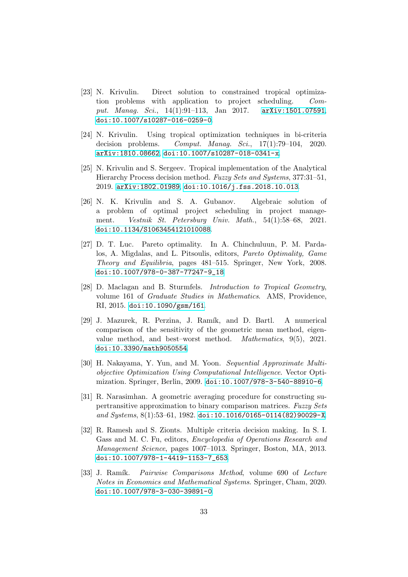- <span id="page-32-9"></span>[23] N. Krivulin. Direct solution to constrained tropical optimization problems with application to project scheduling. Comput. Manag. Sci., 14(1):91-113, Jan 2017. [arXiv:1501.07591](http://arxiv.org/abs/1501.07591), [doi:10.1007/s10287-016-0259-0](https://doi.org/10.1007/s10287-016-0259-0).
- <span id="page-32-7"></span>[24] N. Krivulin. Using tropical optimization techniques in bi-criteria decision problems. Comput. Manag. Sci., 17(1):79-104, 2020. [arXiv:1810.08662](http://arxiv.org/abs/1810.08662), [doi:10.1007/s10287-018-0341-x](https://doi.org/10.1007/s10287-018-0341-x).
- <span id="page-32-3"></span>[25] N. Krivulin and S. Sergeev. Tropical implementation of the Analytical Hierarchy Process decision method. Fuzzy Sets and Systems, 377:31–51, 2019. [arXiv:1802.01989](http://arxiv.org/abs/1802.01989), [doi:10.1016/j.fss.2018.10.013](https://doi.org/10.1016/j.fss.2018.10.013).
- <span id="page-32-10"></span>[26] N. K. Krivulin and S. A. Gubanov. Algebraic solution of a problem of optimal project scheduling in project management. Vestnik St. Petersburg Univ. Math., 54(1):58–68, 2021. [doi:10.1134/S1063454121010088](https://doi.org/10.1134/S1063454121010088).
- <span id="page-32-4"></span>[27] D. T. Luc. Pareto optimality. In A. Chinchuluun, P. M. Pardalos, A. Migdalas, and L. Pitsoulis, editors, Pareto Optimality, Game Theory and Equilibria, pages 481–515. Springer, New York, 2008. [doi:10.1007/978-0-387-77247-9\\_18](https://doi.org/10.1007/978-0-387-77247-9_18).
- <span id="page-32-8"></span>[28] D. Maclagan and B. Sturmfels. Introduction to Tropical Geometry, volume 161 of Graduate Studies in Mathematics. AMS, Providence, RI, 2015. [doi:10.1090/gsm/161](https://doi.org/10.1090/gsm/161).
- <span id="page-32-2"></span>[29] J. Mazurek, R. Perzina, J. Ram´ık, and D. Bartl. A numerical comparison of the sensitivity of the geometric mean method, eigenvalue method, and best–worst method. Mathematics, 9(5), 2021. [doi:10.3390/math9050554](https://doi.org/10.3390/math9050554).
- <span id="page-32-5"></span>[30] H. Nakayama, Y. Yun, and M. Yoon. Sequential Approximate Multiobjective Optimization Using Computational Intelligence. Vector Optimization. Springer, Berlin, 2009. [doi:10.1007/978-3-540-88910-6](https://doi.org/10.1007/978-3-540-88910-6).
- <span id="page-32-1"></span>[31] R. Narasimhan. A geometric averaging procedure for constructing supertransitive approximation to binary comparison matrices. Fuzzy Sets and Systems,  $8(1):53-61$ , 1982. [doi:10.1016/0165-0114\(82\)90029-X](https://doi.org/10.1016/0165-0114(82)90029-X).
- <span id="page-32-6"></span>[32] R. Ramesh and S. Zionts. Multiple criteria decision making. In S. I. Gass and M. C. Fu, editors, Encyclopedia of Operations Research and Management Science, pages 1007–1013. Springer, Boston, MA, 2013. [doi:10.1007/978-1-4419-1153-7\\_653](https://doi.org/10.1007/978-1-4419-1153-7_653).
- <span id="page-32-0"></span>[33] J. Ramík. Pairwise Comparisons Method, volume 690 of Lecture Notes in Economics and Mathematical Systems. Springer, Cham, 2020. [doi:10.1007/978-3-030-39891-0](https://doi.org/10.1007/978-3-030-39891-0).